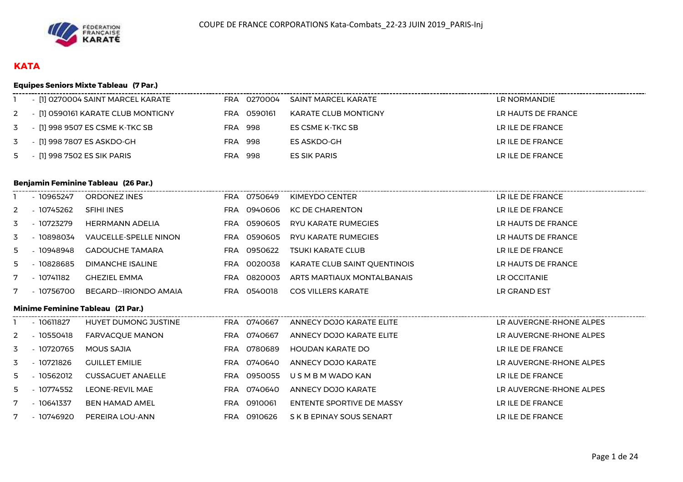

# **KATA**

## **Equipes Seniors Mixte Tableau (7 Par.)**

| - [1] 0270004 SAINT MARCEL KARATE    |     | FRA 0270004 | SAINT MARCEL KARATE  | LR NORMANDIE       |
|--------------------------------------|-----|-------------|----------------------|--------------------|
| 2 - [1] 0590161 KARATE CLUB MONTIGNY | FRA | 0590161     | KARATE CLUB MONTIGNY | LR HAUTS DE FRANCE |
| 3 - [1] 998 9507 ES CSME K-TKC SB    | FRA | 998         | ES CSME K-TKC SB     | LR ILE DE FRANCE   |
| 3 - [1] 998 7807 ES ASKDO-GH         | FRA | 998         | ES ASKDO-GH          | LR ILE DE FRANCE   |
| 5 - [1] 998 7502 ES SIK PARIS        | FRA | 998         | ES SIK PARIS         | LR ILE DE FRANCE   |

#### **Benjamin Feminine Tableau (26 Par.)**

|               | - 10965247 | ORDONEZ INES           | FRA        | 0750649 | KIMEYDO CENTER               | LR ILE DE FRANCE   |
|---------------|------------|------------------------|------------|---------|------------------------------|--------------------|
| $\mathcal{P}$ | - 10745262 | SFIHI INES             | FRA        | 0940606 | <b>KC DE CHARENTON</b>       | LR ILE DE FRANCE   |
| 3             | - 10723279 | HERRMANN ADELIA        | <b>FRA</b> | 0590605 | RYU KARATE RUMEGIES          | LR HAUTS DE FRANCE |
| 3             | 10898034   | VAUCELLE-SPELLE NINON  | <b>FRA</b> | 0590605 | RYU KARATE RUMEGIES          | LR HAUTS DE FRANCE |
| 5             | - 10948948 | <b>GADOUCHE TAMARA</b> | <b>FRA</b> | 0950622 | TSUKI KARATE CLUB            | LR ILE DE FRANCE   |
| 5             | 10828685   | DIMANCHE ISALINE       | <b>FRA</b> | 0020038 | KARATE CLUB SAINT QUENTINOIS | LR HAUTS DE FRANCE |
|               | - 10741182 | <b>GHEZIEL EMMA</b>    | <b>FRA</b> | 0820003 | ARTS MARTIAUX MONTALBANAIS   | LR OCCITANIE       |
|               | 10756700   | BEGARD--IRIONDO AMAIA  | <b>FRA</b> | 0540018 | <b>COS VILLERS KARATE</b>    | LR GRAND EST       |

#### **Minime Feminine Tableau (21 Par.)**

|    | $-10611827$ | <b>HUYET DUMONG JUSTINE</b> | FRA.       | 0740667 | ANNECY DOJO KARATE ELITE  | LR AUVERGNE-RHONE ALPES |
|----|-------------|-----------------------------|------------|---------|---------------------------|-------------------------|
| 2  | 10550418    | <b>FARVACQUE MANON</b>      | <b>FRA</b> | 0740667 | ANNECY DOJO KARATE ELITE  | LR AUVERGNE-RHONE ALPES |
| 3  | 10720765    | MOUS SAJIA                  | <b>FRA</b> | 0780689 | HOUDAN KARATE DO          | LR ILE DE FRANCE        |
| 3  | - 10721826  | <b>GUILLET EMILIE</b>       | <b>FRA</b> | 0740640 | ANNECY DOJO KARATE        | LR AUVERGNE-RHONE ALPES |
| 5. | 10562012    | CUSSAGUET ANAELLE           | <b>FRA</b> | 0950055 | U S M B M WADO KAN        | LR ILE DE FRANCE        |
| 5. | 10774552    | LEONE-REVIL MAE             | <b>FRA</b> | 0740640 | ANNECY DOJO KARATE        | LR AUVERGNE-RHONE ALPES |
|    | 10641337    | BEN HAMAD AMEL              | <b>FRA</b> | 0910061 | ENTENTE SPORTIVE DE MASSY | LR ILE DE FRANCE        |
|    | 10746920    | PEREIRA LOU-ANN             | FRA        | 0910626 | S K B EPINAY SOUS SENART  | LR ILE DE FRANCE        |
|    |             |                             |            |         |                           |                         |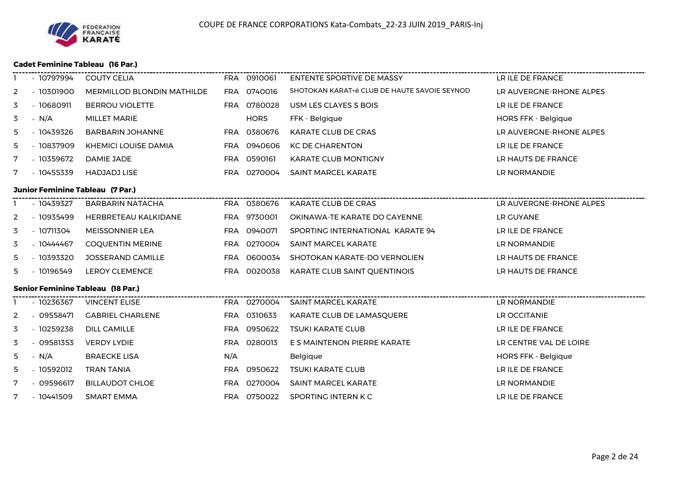

#### **Cadet Feminine Tableau (16 Par.)**

|                | - 10797994  | ---------------------------<br><b>COUTY CELIA</b> |     | FRA 0910061 | ENTENTE SPORTIVE DE MASSY                    | LR ILE DE FRANCE           |
|----------------|-------------|---------------------------------------------------|-----|-------------|----------------------------------------------|----------------------------|
| 2              | $-10301900$ | <b>MERMILLOD BLONDIN MATHILDE</b>                 |     | FRA 0740016 | SHOTOKAN KARAT+ë CLUB DE HAUTE SAVOIE SEYNOD | LR AUVERGNE-RHONE ALPES    |
| 3              | $-10680911$ | <b>BERROU VIOLETTE</b>                            |     | FRA 0780028 | USM LES CLAYES S BOIS                        | LR ILE DE FRANCE           |
| 3              | $- N/A$     | <b>MILLET MARIE</b>                               |     | <b>HORS</b> | FFK - Belgique                               | <b>HORS FFK - Belgique</b> |
| 5              | - 10439326  | <b>BARBARIN JOHANNE</b>                           |     | FRA 0380676 | KARATE CLUB DE CRAS                          | LR AUVERGNE-RHONE ALPES    |
| 5              | - 10837909  | <b>KHEMICI LOUISE DAMIA</b>                       |     | FRA 0940606 | <b>KC DE CHARENTON</b>                       | LR ILE DE FRANCE           |
| 7              | $-10359672$ | DAMIE JADE                                        |     | FRA 0590161 | <b>KARATE CLUB MONTIGNY</b>                  | LR HAUTS DE FRANCE         |
| 7              | $-10455339$ | <b>HADJADJ LISE</b>                               |     | FRA 0270004 | <b>SAINT MARCEL KARATE</b>                   | LR NORMANDIE               |
|                |             | <b>Junior Feminine Tableau (7 Par.)</b>           |     |             |                                              |                            |
|                | $-10439327$ | <b>BARBARIN NATACHA</b>                           |     |             | FRA 0380676 KARATE CLUB DE CRAS              |                            |
| 2              | $-10935499$ | HERBRETEAU KALKIDANE                              |     | FRA 9730001 | OKINAWA-TE KARATE DO CAYENNE                 | LR GUYANE                  |
| 3              | - 10711304  | <b>MEISSONNIER LEA</b>                            |     | FRA 0940071 | SPORTING INTERNATIONAL KARATE 94             | LR ILE DE FRANCE           |
| 3              | - 10444467  | <b>COQUENTIN MERINE</b>                           |     | FRA 0270004 | SAINT MARCEL KARATE                          | LR NORMANDIE               |
| 5              | $-10393320$ | <b>JOSSERAND CAMILLE</b>                          |     | FRA 0600034 | SHOTOKAN KARATE-DO VERNOLIEN                 | LR HAUTS DE FRANCE         |
| 5              | $-10196549$ | <b>LEROY CLEMENCE</b>                             |     | FRA 0020038 | KARATE CLUB SAINT QUENTINOIS                 | LR HAUTS DE FRANCE         |
|                |             | <b>Senior Feminine Tableau (18 Par.)</b>          |     |             |                                              |                            |
|                | $-10236367$ | <b>VINCENT ELISE</b>                              |     | FRA 0270004 | SAINT MARCEL KARATE                          | LR NORMANDIE               |
| $\overline{2}$ | - 09558471  | <b>GABRIEL CHARLENE</b>                           |     | FRA 0310633 | KARATE CLUB DE LAMASQUERE                    | LR OCCITANIE               |
| 3              | $-10259238$ | <b>DILL CAMILLE</b>                               |     | FRA 0950622 | <b>TSUKI KARATE CLUB</b>                     | LR ILE DE FRANCE           |
| 3              | $-09581353$ | <b>VERDY LYDIE</b>                                |     | FRA 0280013 | E S MAINTENON PIERRE KARATE                  | LR CENTRE VAL DE LOIRE     |
| 5              | $- N/A$     | <b>BRAECKE LISA</b>                               | N/A |             | Belgique                                     | <b>HORS FFK - Belgique</b> |
| 5              | $-10592012$ | <b>TRAN TANIA</b>                                 |     | FRA 0950622 | <b>TSUKI KARATE CLUB</b>                     | LR ILE DE FRANCE           |
| 7              | $-09596617$ | <b>BILLAUDOT CHLOE</b>                            |     | FRA 0270004 | <b>SAINT MARCEL KARATE</b>                   | LR NORMANDIE               |
| 7              | $-10441509$ | SMART EMMA                                        |     | FRA 0750022 | SPORTING INTERN K C                          | LR ILE DE FRANCE           |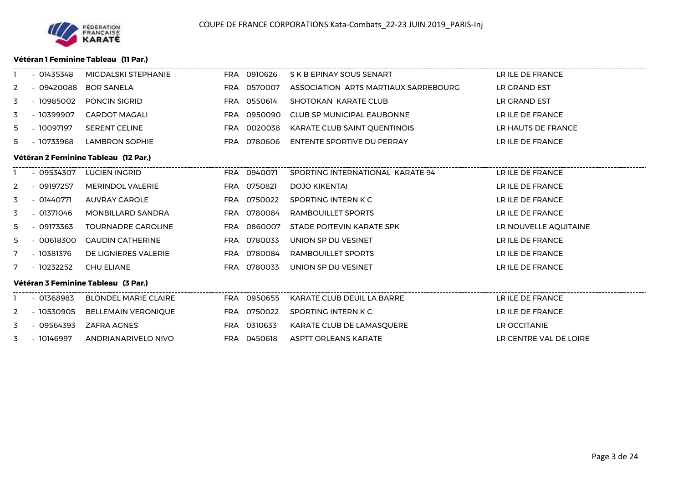#### **Vétéran 1 Feminine Tableau (11 Par.)**

|    | $-01435348$ | MIGDALSKI STEPHANIE                  | FRA 0910626 | S K B EPINAY SOUS SENART             | LR ILE DE FRANCE       |
|----|-------------|--------------------------------------|-------------|--------------------------------------|------------------------|
| 2  | $-09420088$ | <b>BOR SANELA</b>                    | FRA 0570007 | ASSOCIATION ARTS MARTIAUX SARREBOURG | LR GRAND EST           |
| 3  | - 10985002  | <b>PONCIN SIGRID</b>                 | FRA 0550614 | SHOTOKAN KARATE CLUB                 | LR GRAND EST           |
| 3  | - 10399907  | <b>CARDOT MAGALI</b>                 | FRA 0950090 | CLUB SP MUNICIPAL EAUBONNE           | LR ILE DE FRANCE       |
| 5. | - 10097197  | <b>SERENT CELINE</b>                 | FRA 0020038 | KARATE CLUB SAINT QUENTINOIS         | LR HAUTS DE FRANCE     |
| 5  | - 10733968  | <b>LAMBRON SOPHIE</b>                | FRA 0780606 | ENTENTE SPORTIVE DU PERRAY           | LR ILE DE FRANCE       |
|    |             | Vétéran 2 Feminine Tableau (12 Par.) |             |                                      |                        |
|    | $-09534307$ | <b>LUCIEN INGRID</b>                 | FRA 0940071 | SPORTING INTERNATIONAL KARATE 94     | LR ILE DE FRANCE       |
| 2  | $-09197257$ | <b>MERINDOL VALERIE</b>              | FRA 0750821 | <b>DOJO KIKENTAI</b>                 | LR ILE DE FRANCE       |
| 3  | - 01440771  | AUVRAY CAROLE                        | FRA 0750022 | SPORTING INTERN K C                  | LR ILE DE FRANCE       |
| 3  | - 01371046  | MONBILLARD SANDRA                    | FRA 0780084 | RAMBOUILLET SPORTS                   | LR ILE DE FRANCE       |
| 5. | $-09173363$ | <b>TOURNADRE CAROLINE</b>            | FRA 0860007 | STADE POITEVIN KARATE SPK            | LR NOUVELLE AQUITAINE  |
| 5. | $-00618300$ | <b>GAUDIN CATHERINE</b>              | FRA 0780033 | UNION SP DU VESINET                  | LR ILE DE FRANCE       |
| 7  | $-10381376$ | DE LIGNIERES VALERIE                 | FRA 0780084 | RAMBOUILLET SPORTS                   | LR ILE DE FRANCE       |
| 7  | - 10232252  | <b>CHU ELIANE</b>                    | FRA 0780033 | UNION SP DU VESINET                  | LR ILE DE FRANCE       |
|    |             | Vétéran 3 Feminine Tableau (3 Par.)  |             |                                      |                        |
|    | $-01368983$ | <b>BLONDEL MARIE CLAIRE</b>          | FRA 0950655 | KARATE CLUB DEUIL LA BARRE           | LR ILE DE FRANCE       |
| 2  | $-10530905$ | <b>BELLEMAIN VERONIQUE</b>           | FRA 0750022 | SPORTING INTERN K C                  | LR ILE DE FRANCE       |
| 3  | - 09564393  | ZAFRA AGNES                          | FRA 0310633 | KARATE CLUB DE LAMASQUERE            | LR OCCITANIE           |
| 3  | - 10146997  | ANDRIANARIVELO NIVO                  | FRA 0450618 | ASPTT ORLEANS KARATE                 | LR CENTRE VAL DE LOIRE |
|    |             |                                      |             |                                      |                        |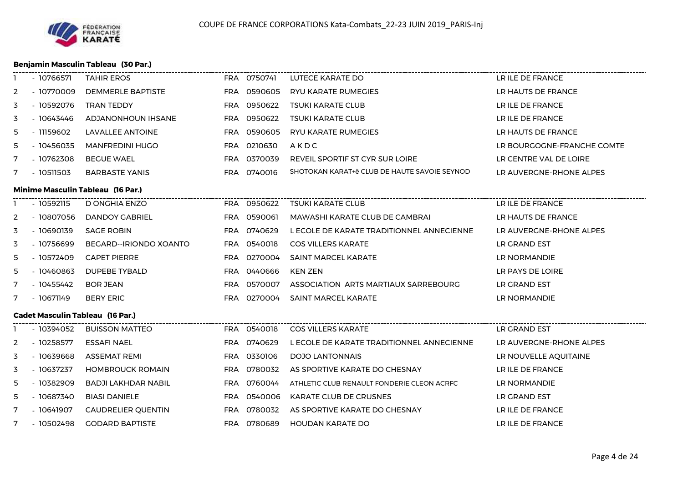

# **Benjamin Masculin Tableau (30 Par.)**

 $-$ 

| $-10770009$<br>$-10592076$<br>$-10643446$<br>$-11159602$<br>$-10456035$<br>$-10762308$<br>$-10511503$<br>$-10592115$<br>$-10807056$<br>$-10690139$<br>$-10756699$ | DEMMERLE BAPTISTE<br><b>TRAN TEDDY</b><br>ADJANONHOUN IHSANE<br>LAVALLEE ANTOINE<br><b>MANFREDINI HUGO</b><br><b>BEGUE WAEL</b><br><b>BARBASTE YANIS</b><br><b>Minime Masculin Tableau (16 Par.)</b><br>D ONGHIA ENZO<br>DANDOY GABRIEL<br><b>SAGE ROBIN</b> | <b>FRA</b><br><b>FRA</b><br><b>FRA</b><br><b>FRA</b><br><b>FRA</b><br>FRA<br><b>FRA</b> | FRA 0590605<br>0950622<br>0950622<br>0590605<br>0210630<br>0370039<br>FRA 0740016<br>FRA 0950622<br>0590061<br>0740629 | <b>RYU KARATE RUMEGIES</b><br><b>TSUKI KARATE CLUB</b><br><b>TSUKI KARATE CLUB</b><br>RYU KARATE RUMEGIES<br>AKDC<br>REVEIL SPORTIF ST CYR SUR LOIRE<br>SHOTOKAN KARAT+ë CLUB DE HAUTE SAVOIE SEYNOD<br><b>TSUKI KARATE CLUB</b><br>MAWASHI KARATE CLUB DE CAMBRAI | LR HAUTS DE FRANCE<br>LR ILE DE FRANCE<br>LR ILE DE FRANCE<br>LR HAUTS DE FRANCE<br>LR BOURGOGNE-FRANCHE COMTE<br>LR CENTRE VAL DE LOIRE<br>LR AUVERGNE-RHONE ALPES<br>LR ILE DE FRANCE<br>LR HAUTS DE FRANCE |
|-------------------------------------------------------------------------------------------------------------------------------------------------------------------|--------------------------------------------------------------------------------------------------------------------------------------------------------------------------------------------------------------------------------------------------------------|-----------------------------------------------------------------------------------------|------------------------------------------------------------------------------------------------------------------------|--------------------------------------------------------------------------------------------------------------------------------------------------------------------------------------------------------------------------------------------------------------------|---------------------------------------------------------------------------------------------------------------------------------------------------------------------------------------------------------------|
|                                                                                                                                                                   |                                                                                                                                                                                                                                                              |                                                                                         |                                                                                                                        |                                                                                                                                                                                                                                                                    |                                                                                                                                                                                                               |
|                                                                                                                                                                   |                                                                                                                                                                                                                                                              |                                                                                         |                                                                                                                        |                                                                                                                                                                                                                                                                    |                                                                                                                                                                                                               |
|                                                                                                                                                                   |                                                                                                                                                                                                                                                              |                                                                                         |                                                                                                                        |                                                                                                                                                                                                                                                                    |                                                                                                                                                                                                               |
|                                                                                                                                                                   |                                                                                                                                                                                                                                                              |                                                                                         |                                                                                                                        |                                                                                                                                                                                                                                                                    |                                                                                                                                                                                                               |
|                                                                                                                                                                   |                                                                                                                                                                                                                                                              |                                                                                         |                                                                                                                        |                                                                                                                                                                                                                                                                    |                                                                                                                                                                                                               |
|                                                                                                                                                                   |                                                                                                                                                                                                                                                              |                                                                                         |                                                                                                                        |                                                                                                                                                                                                                                                                    |                                                                                                                                                                                                               |
|                                                                                                                                                                   |                                                                                                                                                                                                                                                              |                                                                                         |                                                                                                                        |                                                                                                                                                                                                                                                                    |                                                                                                                                                                                                               |
|                                                                                                                                                                   |                                                                                                                                                                                                                                                              |                                                                                         |                                                                                                                        |                                                                                                                                                                                                                                                                    |                                                                                                                                                                                                               |
|                                                                                                                                                                   |                                                                                                                                                                                                                                                              |                                                                                         |                                                                                                                        |                                                                                                                                                                                                                                                                    |                                                                                                                                                                                                               |
|                                                                                                                                                                   |                                                                                                                                                                                                                                                              |                                                                                         |                                                                                                                        |                                                                                                                                                                                                                                                                    |                                                                                                                                                                                                               |
|                                                                                                                                                                   |                                                                                                                                                                                                                                                              |                                                                                         |                                                                                                                        | L ECOLE DE KARATE TRADITIONNEL ANNECIENNE                                                                                                                                                                                                                          | LR AUVERGNE-RHONE ALPES                                                                                                                                                                                       |
|                                                                                                                                                                   | BEGARD--IRIONDO XOANTO                                                                                                                                                                                                                                       |                                                                                         | FRA 0540018                                                                                                            | <b>COS VILLERS KARATE</b>                                                                                                                                                                                                                                          | LR GRAND EST                                                                                                                                                                                                  |
| $-10572409$                                                                                                                                                       | <b>CAPET PIERRE</b>                                                                                                                                                                                                                                          | <b>FRA</b>                                                                              | 0270004                                                                                                                | <b>SAINT MARCEL KARATE</b>                                                                                                                                                                                                                                         | LR NORMANDIE                                                                                                                                                                                                  |
| $-10460863$                                                                                                                                                       | DUPEBE TYBALD                                                                                                                                                                                                                                                |                                                                                         | FRA 0440666                                                                                                            | <b>KEN ZEN</b>                                                                                                                                                                                                                                                     | LR PAYS DE LOIRE                                                                                                                                                                                              |
| - 10455442                                                                                                                                                        | <b>BOR JEAN</b>                                                                                                                                                                                                                                              | <b>FRA</b>                                                                              | 0570007                                                                                                                | ASSOCIATION ARTS MARTIAUX SARREBOURG                                                                                                                                                                                                                               | LR GRAND EST                                                                                                                                                                                                  |
| $-10671149$                                                                                                                                                       | <b>BERY ERIC</b>                                                                                                                                                                                                                                             |                                                                                         |                                                                                                                        | <b>SAINT MARCEL KARATE</b>                                                                                                                                                                                                                                         | LR NORMANDIE                                                                                                                                                                                                  |
|                                                                                                                                                                   |                                                                                                                                                                                                                                                              |                                                                                         |                                                                                                                        |                                                                                                                                                                                                                                                                    |                                                                                                                                                                                                               |
| $-10394052$                                                                                                                                                       | <b>BUISSON MATTEO</b>                                                                                                                                                                                                                                        |                                                                                         |                                                                                                                        | <b>COS VILLERS KARATE</b>                                                                                                                                                                                                                                          | LR GRAND EST                                                                                                                                                                                                  |
| $-10258577$                                                                                                                                                       | <b>ESSAFI NAEL</b>                                                                                                                                                                                                                                           |                                                                                         |                                                                                                                        | L ECOLE DE KARATE TRADITIONNEL ANNECIENNE                                                                                                                                                                                                                          | LR AUVERGNE-RHONE ALPES                                                                                                                                                                                       |
| $-10639668$                                                                                                                                                       | ASSEMAT REMI                                                                                                                                                                                                                                                 |                                                                                         |                                                                                                                        | DOJO LANTONNAIS                                                                                                                                                                                                                                                    | LR NOUVELLE AQUITAINE                                                                                                                                                                                         |
| $-10637237$                                                                                                                                                       | <b>HOMBROUCK ROMAIN</b>                                                                                                                                                                                                                                      | <b>FRA</b>                                                                              | 0780032                                                                                                                | AS SPORTIVE KARATE DO CHESNAY                                                                                                                                                                                                                                      | LR ILE DE FRANCE                                                                                                                                                                                              |
| - 10382909                                                                                                                                                        | BADJI LAKHDAR NABIL                                                                                                                                                                                                                                          | <b>FRA</b>                                                                              | 0760044                                                                                                                | ATHLETIC CLUB RENAULT FONDERIE CLEON ACRFC                                                                                                                                                                                                                         | LR NORMANDIE                                                                                                                                                                                                  |
| $-10687340$                                                                                                                                                       | <b>BIASI DANIELE</b>                                                                                                                                                                                                                                         | <b>FRA</b>                                                                              | 0540006                                                                                                                | <b>KARATE CLUB DE CRUSNES</b>                                                                                                                                                                                                                                      | LR GRAND EST                                                                                                                                                                                                  |
|                                                                                                                                                                   |                                                                                                                                                                                                                                                              | FRA                                                                                     | 0780032                                                                                                                | AS SPORTIVE KARATE DO CHESNAY                                                                                                                                                                                                                                      | LR ILE DE FRANCE                                                                                                                                                                                              |
| - 10641907                                                                                                                                                        |                                                                                                                                                                                                                                                              |                                                                                         |                                                                                                                        |                                                                                                                                                                                                                                                                    | LR ILE DE FRANCE                                                                                                                                                                                              |
|                                                                                                                                                                   |                                                                                                                                                                                                                                                              | <b>Cadet Masculin Tableau (16 Par.)</b><br><b>CAUDRELIER QUENTIN</b>                    |                                                                                                                        | FRA 0270004<br>FRA 0540018<br>FRA 0740629<br>FRA 0330106                                                                                                                                                                                                           | $-10502498$<br><b>GODARD BAPTISTE</b><br>FRA 0780689<br><b>HOUDAN KARATE DO</b>                                                                                                                               |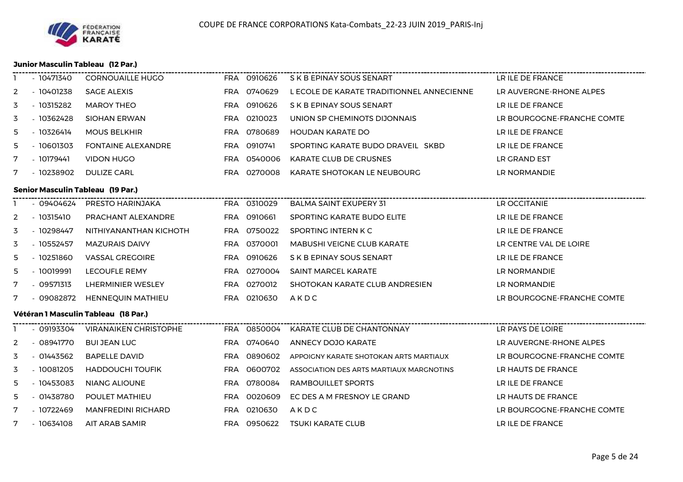

#### **Junior Masculin Tableau (12 Par.)**

|              | - 10471340  | <b>CORNOUAILLE HUGO</b>              | FRA 0910626 | S K B EPINAY SOUS SENART                  | LR ILE DE FRANCE           |
|--------------|-------------|--------------------------------------|-------------|-------------------------------------------|----------------------------|
| $\mathbf{2}$ | $-10401238$ | <b>SAGE ALEXIS</b>                   | FRA 0740629 | L ECOLE DE KARATE TRADITIONNEL ANNECIENNE | LR AUVERGNE-RHONE ALPES    |
| 3            | $-10315282$ | <b>MAROY THEO</b>                    | FRA 0910626 | S K B EPINAY SOUS SENART                  | LR ILE DE FRANCE           |
| 3            | - 10362428  | SIOHAN ERWAN                         | FRA 0210023 | UNION SP CHEMINOTS DIJONNAIS              | LR BOURGOGNE-FRANCHE COMTE |
| 5            | $-10326414$ | <b>MOUS BELKHIR</b>                  | FRA 0780689 | <b>HOUDAN KARATE DO</b>                   | LR ILE DE FRANCE           |
| 5.           | - 10601303  | <b>FONTAINE ALEXANDRE</b>            | FRA 0910741 | SPORTING KARATE BUDO DRAVEIL SKBD         | LR ILE DE FRANCE           |
| 7            | - 10179441  | <b>VIDON HUGO</b>                    | FRA 0540006 | KARATE CLUB DE CRUSNES                    | LR GRAND EST               |
| 7            | - 10238902  | DULIZE CARL                          | FRA 0270008 | KARATE SHOTOKAN LE NEUBOURG               | LR NORMANDIE               |
|              |             | Senior Masculin Tableau (19 Par.)    |             |                                           |                            |
|              |             | - 09404624 PRESTO HARINJAKA          | FRA 0310029 | <b>BALMA SAINT EXUPERY 31</b>             | LR OCCITANIE               |
| 2            | - 10315410  | PRACHANT ALEXANDRE                   | FRA 0910661 | SPORTING KARATE BUDO ELITE                | LR ILE DE FRANCE           |
| 3            | - 10298447  | NITHIYANANTHAN KICHOTH               | FRA 0750022 | SPORTING INTERN K C                       | LR ILE DE FRANCE           |
| 3            | $-10552457$ | <b>MAZURAIS DAIVY</b>                | FRA 0370001 | <b>MABUSHI VEIGNE CLUB KARATE</b>         | LR CENTRE VAL DE LOIRE     |
| 5            | $-10251860$ | VASSAL GREGOIRE                      | FRA 0910626 | S K B EPINAY SOUS SENART                  | LR ILE DE FRANCE           |
| 5            | - 10019991  | <b>LECOUFLE REMY</b>                 | FRA 0270004 | SAINT MARCEL KARATE                       | LR NORMANDIE               |
| 7            | - 09571313  | LHERMINIER WESLEY                    | FRA 0270012 | SHOTOKAN KARATE CLUB ANDRESIEN            | LR NORMANDIE               |
| 7            | - 09082872  | HENNEQUIN MATHIEU                    | FRA 0210630 | AKDC                                      | LR BOURGOGNE-FRANCHE COMTE |
|              |             | Vétéran 1 Masculin Tableau (18 Par.) |             |                                           |                            |
|              |             | - 09193304 VIRANAIKEN CHRISTOPHE     |             | FRA 0850004 KARATE CLUB DE CHANTONNAY     | LR PAYS DE LOIRE           |
| 2            | - 08941770  | <b>BUI JEAN LUC</b>                  | FRA 0740640 | <b>ANNECY DOJO KARATE</b>                 | LR AUVERGNE-RHONE ALPES    |
| 3            | $-01443562$ | <b>BAPELLE DAVID</b>                 | FRA 0890602 | APPOIGNY KARATE SHOTOKAN ARTS MARTIAUX    | LR BOURGOGNE-FRANCHE COMTE |
| 3            | $-10081205$ | <b>HADDOUCHI TOUFIK</b>              | FRA 0600702 | ASSOCIATION DES ARTS MARTIAUX MARGNOTINS  | LR HAUTS DE FRANCE         |
| 5            | - 10453083  | NIANG ALIOUNE                        | FRA 0780084 | RAMBOUILLET SPORTS                        | LR ILE DE FRANCE           |
| 5            | $-01438780$ | POULET MATHIEU                       | FRA 0020609 | EC DES A M FRESNOY LE GRAND               | LR HAUTS DE FRANCE         |
| 7            | - 10722469  | <b>MANFREDINI RICHARD</b>            | FRA 0210630 | AKDC                                      | LR BOURGOGNE-FRANCHE COMTE |
| 7            | $-10634108$ | AIT ARAB SAMIR                       | FRA 0950622 | <b>TSUKI KARATE CLUB</b>                  | LR ILE DE FRANCE           |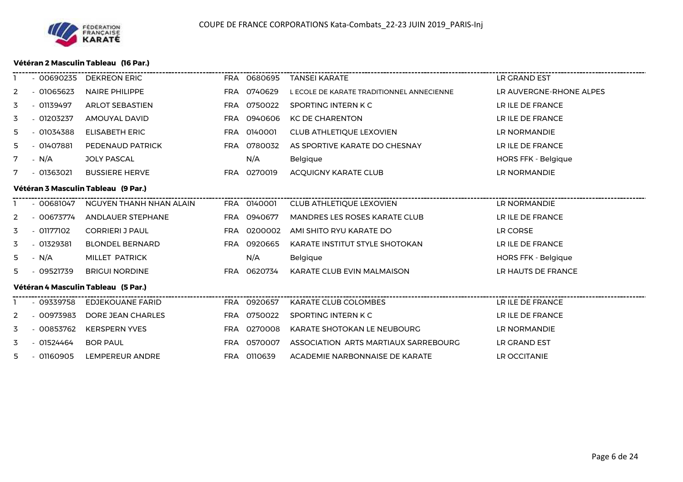#### **Vétéran 2 Masculin Tableau (16 Par.)**

|                | $-00690235$ | <b>DEKREON ERIC</b>                 |            | FRA 0680695 | TANSEI KARATE                             | LR GRAND EST               |
|----------------|-------------|-------------------------------------|------------|-------------|-------------------------------------------|----------------------------|
| 2              | $-01065623$ | NAIRE PHILIPPE                      |            | FRA 0740629 | L ECOLE DE KARATE TRADITIONNEL ANNECIENNE | LR AUVERGNE-RHONE ALPES    |
| 3              | $-01139497$ | <b>ARLOT SEBASTIEN</b>              |            | FRA 0750022 | SPORTING INTERN K C                       | LR ILE DE FRANCE           |
| 3              | $-01203237$ | AMOUYAL DAVID                       |            | FRA 0940606 | <b>KC DE CHARENTON</b>                    | LR ILE DE FRANCE           |
| 5.             | $-01034388$ | <b>ELISABETH ERIC</b>               |            | FRA 0140001 | <b>CLUB ATHLETIQUE LEXOVIEN</b>           | LR NORMANDIE               |
| 5              | $-01407881$ | PEDENAUD PATRICK                    |            | FRA 0780032 | AS SPORTIVE KARATE DO CHESNAY             | LR ILE DE FRANCE           |
| 7              | - N/A       | <b>JOLY PASCAL</b>                  |            | N/A         | Belgique                                  | <b>HORS FFK - Belgique</b> |
| 7              | - 01363021  | <b>BUSSIERE HERVE</b>               |            | FRA 0270019 | ACOUIGNY KARATE CLUB                      | LR NORMANDIE               |
|                |             | Vétéran 3 Masculin Tableau (9 Par.) |            |             |                                           |                            |
|                | $-00681047$ | NGUYEN THANH NHAN ALAIN             |            | FRA 0140001 | <b>CLUB ATHLETIQUE LEXOVIEN</b>           | LR NORMANDIE               |
| 2              | - 00673774  | ANDLAUER STEPHANE                   |            | FRA 0940677 | MANDRES LES ROSES KARATE CLUB             | LR ILE DE FRANCE           |
| 3              | - 01177102  | <b>CORRIERI J PAUL</b>              |            | FRA 0200002 | AMI SHITO RYU KARATE DO                   | LR CORSE                   |
| 3              | $-01329381$ | <b>BLONDEL BERNARD</b>              | <b>FRA</b> | 0920665     | <b>KARATE INSTITUT STYLE SHOTOKAN</b>     | LR ILE DE FRANCE           |
| 5.             | - N/A       | MILLET PATRICK                      |            | N/A         | Belgique                                  | HORS FFK - Belgique        |
| 5.             | - 09521739  | <b>BRIGUI NORDINE</b>               |            | FRA 0620734 | KARATE CLUB EVIN MALMAISON                | LR HAUTS DE FRANCE         |
|                |             | Vétéran 4 Masculin Tableau (5 Par.) |            |             |                                           |                            |
|                | - 09339758  | <b>EDJEKOUANE FARID</b>             |            | FRA 0920657 | <b>KARATE CLUB COLOMBES</b>               | LR ILE DE FRANCE           |
| 2              | $-00973983$ | DORE JEAN CHARLES                   |            | FRA 0750022 | SPORTING INTERN K C                       | LR ILE DE FRANCE           |
| 3              | $-00853762$ | <b>KERSPERN YVES</b>                |            | FRA 0270008 | KARATE SHOTOKAN LE NEUBOURG               | LR NORMANDIE               |
| 3              | - 01524464  | <b>BOR PAUL</b>                     |            | FRA 0570007 | ASSOCIATION ARTS MARTIAUX SARREBOURG      | LR GRAND EST               |
| 5 <sub>1</sub> | $-01160905$ | LEMPEREUR ANDRE                     |            | FRA 0110639 | ACADEMIE NARBONNAISE DE KARATE            | LR OCCITANIE               |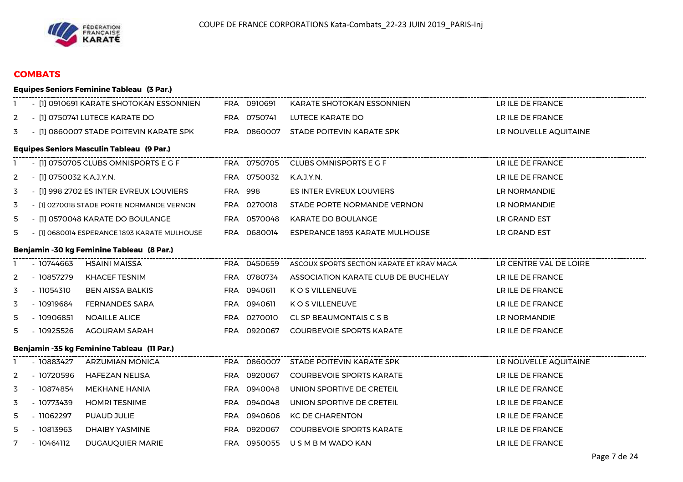

## **COMBATS**

|   |                          | <b>Equipes Seniors Feminine Tableau (3 Par.)</b> |     |             |                                           |                        |
|---|--------------------------|--------------------------------------------------|-----|-------------|-------------------------------------------|------------------------|
|   |                          | - [1] 0910691 KARATE SHOTOKAN ESSONNIEN          |     | FRA 0910691 | KARATE SHOTOKAN ESSONNIEN                 | LR ILE DE FRANCE       |
| 2 |                          | - [1] 0750741 LUTECE KARATE DO                   |     | FRA 0750741 | LUTECE KARATE DO                          | LR ILE DE FRANCE       |
| 3 |                          | - [1] 0860007 STADE POITEVIN KARATE SPK          |     | FRA 0860007 | STADE POITEVIN KARATE SPK                 | LR NOUVELLE AQUITAINE  |
|   |                          | <b>Equipes Seniors Masculin Tableau (9 Par.)</b> |     |             |                                           |                        |
|   |                          | $-$ [1] 0750705 CLUBS OMNISPORTS E G F           |     |             | FRA 0750705 CLUBS OMNISPORTS E G F        | LR ILE DE FRANCE       |
| 2 | - [1] 0750032 K.A.J.Y.N. |                                                  |     | FRA 0750032 | K.A.J.Y.N.                                | LR ILE DE FRANCE       |
| 3 |                          | - [1] 998 2702 ES INTER EVREUX LOUVIERS          |     | FRA 998     | <b>ES INTER EVREUX LOUVIERS</b>           | LR NORMANDIE           |
| 3 |                          | - [1] 0270018 STADE PORTE NORMANDE VERNON        |     | FRA 0270018 | STADE PORTE NORMANDE VERNON               | LR NORMANDIE           |
| 5 |                          | - [1] 0570048 KARATE DO BOULANGE                 |     | FRA 0570048 | <b>KARATE DO BOULANGE</b>                 | LR GRAND EST           |
| 5 |                          | - [1] 0680014 ESPERANCE 1893 KARATE MULHOUSE     |     | FRA 0680014 | ESPERANCE 1893 KARATE MULHOUSE            | LR GRAND EST           |
|   |                          | Benjamin -30 kg Feminine Tableau (8 Par.)        |     |             |                                           |                        |
|   | - 10744663               | <b>HSAINI MAISSA</b>                             |     | FRA 0450659 | ASCOUX SPORTS SECTION KARATE ET KRAV MAGA | LR CENTRE VAL DE LOIRE |
| 2 | - 10857279               | <b>KHACEF TESNIM</b>                             |     | FRA 0780734 | ASSOCIATION KARATE CLUB DE BUCHELAY       | LR ILE DE FRANCE       |
| 3 | $-11054310$              | <b>BEN AISSA BALKIS</b>                          |     | FRA 0940611 | K O S VILLENEUVE                          | LR ILE DE FRANCE       |
| 3 | - 10919684               | <b>FERNANDES SARA</b>                            |     | FRA 0940611 | K O S VILLENEUVE                          | LR ILE DE FRANCE       |
| 5 | $-10906851$              | <b>NOAILLE ALICE</b>                             |     | FRA 0270010 | CL SP BEAUMONTAIS C S B                   | LR NORMANDIE           |
| 5 | $-10925526$              | AGOURAM SARAH                                    |     | FRA 0920067 | <b>COURBEVOIE SPORTS KARATE</b>           | LR ILE DE FRANCE       |
|   |                          | Benjamin -35 kg Feminine Tableau (11 Par.)       |     |             | -------------------------------           |                        |
|   | - 10883427               | ARZUMIAN MONICA                                  |     | FRA 0860007 | STADE POITEVIN KARATE SPK                 | LR NOUVELLE AQUITAINE  |
| 2 | - 10720596               | <b>HAFEZAN NELISA</b>                            |     | FRA 0920067 | <b>COURBEVOIE SPORTS KARATE</b>           | LR ILE DE FRANCE       |
| 3 | - 10874854               | <b>MEKHANE HANIA</b>                             |     | FRA 0940048 | UNION SPORTIVE DE CRETEIL                 | LR ILE DE FRANCE       |
| 3 | - 10773439               | <b>HOMRI TESNIME</b>                             |     | FRA 0940048 | UNION SPORTIVE DE CRETEIL                 | LR ILE DE FRANCE       |
| 5 | $-11062297$              | PUAUD JULIE                                      | FRA | 0940606     | <b>KC DE CHARENTON</b>                    | LR ILE DE FRANCE       |
| 5 | $-10813963$              | DHAIBY YASMINE                                   |     | FRA 0920067 | <b>COURBEVOIE SPORTS KARATE</b>           | LR ILE DE FRANCE       |
| 7 | $-10464112$              | <b>DUGAUQUIER MARIE</b>                          |     | FRA 0950055 | U S M B M WADO KAN                        | LR ILE DE FRANCE       |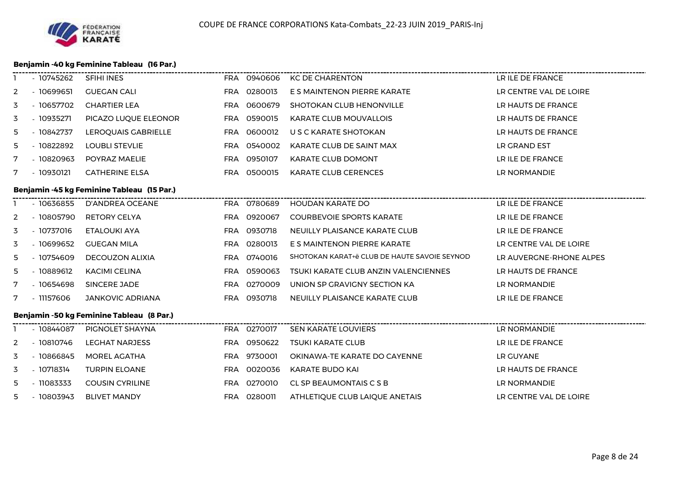#### **Benjamin -40 kg Feminine Tableau (16 Par.)**

| -1 | - 10745262  | SFIHI INES                                 |     | FRA 0940606 | <b>KC DE CHARENTON</b>                       | LR ILE DE FRANCE        |
|----|-------------|--------------------------------------------|-----|-------------|----------------------------------------------|-------------------------|
| 2  | $-10699651$ | <b>GUEGAN CALI</b>                         |     | FRA 0280013 | E S MAINTENON PIERRE KARATE                  | LR CENTRE VAL DE LOIRE  |
| 3  | $-10657702$ | <b>CHARTIER LEA</b>                        |     | FRA 0600679 | <b>SHOTOKAN CLUB HENONVILLE</b>              | LR HAUTS DE FRANCE      |
| 3  | $-10935271$ | PICAZO LUQUE ELEONOR                       |     | FRA 0590015 | <b>KARATE CLUB MOUVALLOIS</b>                | LR HAUTS DE FRANCE      |
| 5  | $-10842737$ | LEROQUAIS GABRIELLE                        |     | FRA 0600012 | U S C KARATE SHOTOKAN                        | LR HAUTS DE FRANCE      |
| 5  | $-10822892$ | <b>LOUBLI STEVLIE</b>                      |     | FRA 0540002 | KARATE CLUB DE SAINT MAX                     | LR GRAND EST            |
| 7  | - 10820963  | POYRAZ MAELIE                              |     | FRA 0950107 | <b>KARATE CLUB DOMONT</b>                    | LR ILE DE FRANCE        |
| 7  | $-10930121$ | <b>CATHERINE ELSA</b>                      |     | FRA 0500015 | <b>KARATE CLUB CERENCES</b>                  | LR NORMANDIE            |
|    |             | Benjamin -45 kg Feminine Tableau (15 Par.) |     |             |                                              |                         |
|    | - 10636855  | <b>D'ANDREA OCEANE</b>                     |     | FRA 0780689 | HOUDAN KARATE DO                             | LR ILE DE FRANCE        |
| 2  | $-10805790$ | <b>RETORY CELYA</b>                        |     | FRA 0920067 | <b>COURBEVOIE SPORTS KARATE</b>              | LR ILE DE FRANCE        |
| 3  | - 10737016  | ETALOUKI AYA                               | FRA | 0930718     | NEUILLY PLAISANCE KARATE CLUB                | LR ILE DE FRANCE        |
| 3  | $-10699652$ | <b>GUEGAN MILA</b>                         | FRA | 0280013     | E S MAINTENON PIERRE KARATE                  | LR CENTRE VAL DE LOIRE  |
| 5  | - 10754609  | <b>DECOUZON ALIXIA</b>                     | FRA | 0740016     | SHOTOKAN KARAT+ë CLUB DE HAUTE SAVOIE SEYNOD | LR AUVERGNE-RHONE ALPES |
| 5  | $-10889612$ | <b>KACIMI CELINA</b>                       | FRA | 0590063     | TSUKI KARATE CLUB ANZIN VALENCIENNES         | LR HAUTS DE FRANCE      |
| 7  | - 10654698  | SINCERE JADE                               |     | FRA 0270009 | UNION SP GRAVIGNY SECTION KA                 | LR NORMANDIE            |
| 7  | - 11157606  | <b>JANKOVIC ADRIANA</b>                    |     | FRA 0930718 | NEUILLY PLAISANCE KARATE CLUB                | LR ILE DE FRANCE        |
|    |             | Benjamin -50 kg Feminine Tableau (8 Par.)  |     |             |                                              |                         |
|    | - 10844087  | PIGNOLET SHAYNA                            |     | FRA 0270017 | SEN KARATE LOUVIERS                          | LR NORMANDIE            |
| 2  | $-10810746$ | <b>LEGHAT NARJESS</b>                      |     | FRA 0950622 | <b>TSUKI KARATE CLUB</b>                     | LR ILE DE FRANCE        |
| 3  | $-10866845$ | <b>MOREL AGATHA</b>                        |     | FRA 9730001 | OKINAWA-TE KARATE DO CAYENNE                 | LR GUYANE               |
| 3  | $-10718314$ | <b>TURPIN ELOANE</b>                       |     | FRA 0020036 | KARATE BUDO KAI                              | LR HAUTS DE FRANCE      |
| 5  | $-11083333$ | <b>COUSIN CYRILINE</b>                     |     | FRA 0270010 | CL SP BEAUMONTAIS C S B                      | LR NORMANDIE            |
| 5. | $-10803943$ | <b>BLIVET MANDY</b>                        |     | FRA 0280011 | ATHLETIQUE CLUB LAIQUE ANETAIS               | LR CENTRE VAL DE LOIRE  |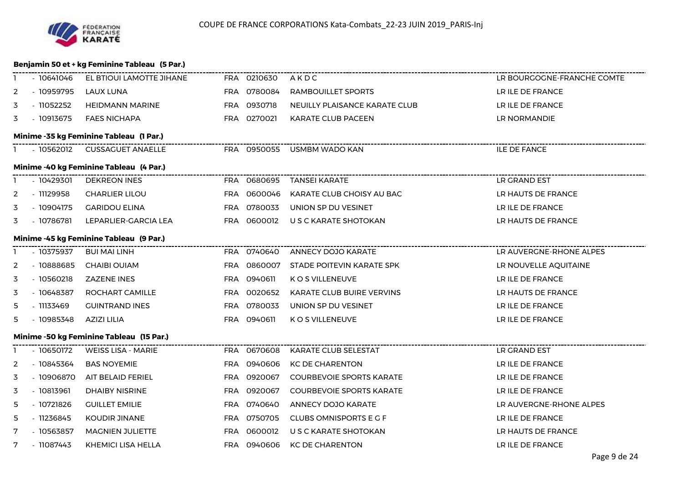

#### **Benjamin 50 et + kg Feminine Tableau (5 Par.)**

|   | - 10641046  | EL BTIOUI LAMOTTE JIHANE FRA 0210630     |             | AKDC                            | LR BOURGOGNE-FRANCHE COMTE |
|---|-------------|------------------------------------------|-------------|---------------------------------|----------------------------|
| 2 | - 10959795  | LAUX LUNA                                | FRA 0780084 | RAMBOUILLET SPORTS              | LR ILE DE FRANCE           |
| 3 | - 11052252  | <b>HEIDMANN MARINE</b>                   | FRA 0930718 | NEUILLY PLAISANCE KARATE CLUB   | LR ILE DE FRANCE           |
| 3 | - 10913675  | <b>FAES NICHAPA</b>                      | FRA 0270021 | KARATE CLUB PACEEN              | LR NORMANDIE               |
|   |             | Minime -35 kg Feminine Tableau (1 Par.)  |             |                                 |                            |
|   |             | 1 - 10562012 CUSSAGUET ANAELLE           |             | FRA 0950055 USMBM WADO KAN      | <b>ILE DE FANCE</b>        |
|   |             | Minime -40 kg Feminine Tableau (4 Par.)  |             |                                 |                            |
|   | - 10429301  | <b>DEKREON INES</b>                      |             | FRA 0680695 TANSEI KARATE       | LR GRAND EST               |
| 2 | - 11129958  | <b>CHARLIER LILOU</b>                    | FRA 0600046 | KARATE CLUB CHOISY AU BAC       | LR HAUTS DE FRANCE         |
| 3 | - 10904175  | <b>GARIDOU ELINA</b>                     | FRA 0780033 | UNION SP DU VESINET             | LR ILE DE FRANCE           |
| 3 | - 10786781  | LEPARLIER-GARCIA LEA                     | FRA 0600012 | U S C KARATE SHOTOKAN           | LR HAUTS DE FRANCE         |
|   |             | Minime -45 kg Feminine Tableau (9 Par.)  |             |                                 |                            |
|   | - 10375937  | <b>BUI MAI LINH</b>                      |             | FRA 0740640 ANNECY DOJO KARATE  |                            |
| 2 | - 10888685  | <b>CHAIBI OUIAM</b>                      | FRA 0860007 | STADE POITEVIN KARATE SPK       | LR NOUVELLE AQUITAINE      |
| 3 | $-10560218$ | <b>ZAZENE INES</b>                       | FRA 0940611 | K O S VILLENEUVE                | LR ILE DE FRANCE           |
| 3 | - 10648387  | ROCHART CAMILLE                          | FRA 0020652 | KARATE CLUB BUIRE VERVINS       | LR HAUTS DE FRANCE         |
| 5 | - 11133469  | <b>GUINTRAND INES</b>                    | FRA 0780033 | UNION SP DU VESINET             | LR ILE DE FRANCE           |
| 5 | - 10985348  | AZIZI LILIA                              | FRA 0940611 | K O S VILLENEUVE                | LR ILE DE FRANCE           |
|   |             | Minime -50 kg Feminine Tableau (15 Par.) |             |                                 |                            |
|   | - 10650172  | <b>WEISS LISA - MARIE</b>                | FRA 0670608 | KARATE CLUB SELESTAT            | LR GRAND EST               |
| 2 | - 10845364  | <b>BAS NOYEMIE</b>                       | FRA 0940606 | KC DE CHARENTON                 | LR ILE DE FRANCE           |
| 3 | - 10906870  | AIT BELAID FERIEL                        | FRA 0920067 | <b>COURBEVOIE SPORTS KARATE</b> | LR ILE DE FRANCE           |
| 3 | $-10813961$ | <b>DHAIBY NISRINE</b>                    | FRA 0920067 | <b>COURBEVOIE SPORTS KARATE</b> | LR ILE DE FRANCE           |
| 5 | $-10721826$ | <b>GUILLET EMILIE</b>                    | FRA 0740640 | ANNECY DOJO KARATE              | LR AUVERGNE-RHONE ALPES    |
| 5 | $-11236845$ | KOUDIR JINANE                            | FRA 0750705 | CLUBS OMNISPORTS E G F          | LR ILE DE FRANCE           |
| 7 | $-10563857$ | <b>MAGNIEN JULIETTE</b>                  | FRA 0600012 | U S C KARATE SHOTOKAN           | LR HAUTS DE FRANCE         |
| 7 | - 11087443  | KHEMICI LISA HELLA                       | FRA 0940606 | <b>KC DE CHARENTON</b>          | LR ILE DE FRANCE           |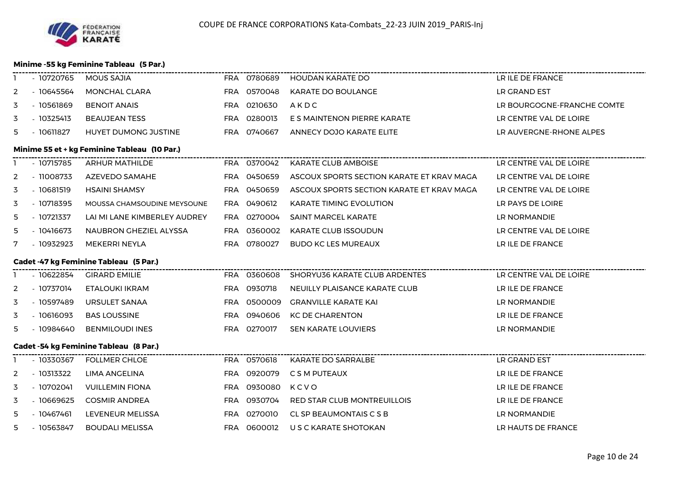#### **Minime -55 kg Feminine Tableau (5 Par.)**

|                | - 10720765  | MOUS SAJIA                                    |             | FRA 0780689 HOUDAN KARATE DO              | LR ILE DE FRANCE           |
|----------------|-------------|-----------------------------------------------|-------------|-------------------------------------------|----------------------------|
| 2              | $-10645564$ | MONCHAL CLARA                                 | FRA 0570048 | <b>KARATE DO BOULANGE</b>                 | LR GRAND EST               |
| 3              | $-10561869$ | <b>BENOIT ANAIS</b>                           | FRA 0210630 | AKDC                                      | LR BOURGOGNE-FRANCHE COMTE |
| 3              | $-10325413$ | <b>BEAUJEAN TESS</b>                          | FRA 0280013 | E S MAINTENON PIERRE KARATE               | LR CENTRE VAL DE LOIRE     |
| 5.             | $-10611827$ | HUYET DUMONG JUSTINE                          | FRA 0740667 | ANNECY DOJO KARATE ELITE                  | LR AUVERGNE-RHONE ALPES    |
|                |             | Minime 55 et + kg Feminine Tableau (10 Par.)  |             |                                           |                            |
|                | $-10715785$ | ARHUR MATHILDE                                | FRA 0370042 | <b>KARATE CLUB AMBOISE</b>                | LR CENTRE VAL DE LOIRE     |
| 2              | - 11008733  | AZEVEDO SAMAHE                                | FRA 0450659 | ASCOUX SPORTS SECTION KARATE ET KRAV MAGA | LR CENTRE VAL DE LOIRE     |
| 3              | $-10681519$ | <b>HSAINI SHAMSY</b>                          | FRA 0450659 | ASCOUX SPORTS SECTION KARATE ET KRAV MAGA | LR CENTRE VAL DE LOIRE     |
| 3              | $-10718395$ | MOUSSA CHAMSOUDINE MEYSOUNE                   | FRA 0490612 | KARATE TIMING EVOLUTION                   | LR PAYS DE LOIRE           |
| 5              | - 10721337  | LAI MI LANE KIMBERLEY AUDREY                  | FRA 0270004 | <b>SAINT MARCEL KARATE</b>                | LR NORMANDIE               |
| 5              | $-10416673$ | NAUBRON GHEZIEL ALYSSA                        | FRA 0360002 | <b>KARATE CLUB ISSOUDUN</b>               | LR CENTRE VAL DE LOIRE     |
| 7              | $-10932923$ | MEKERRI NEYLA                                 | FRA 0780027 | <b>BUDO KC LES MUREAUX</b>                | LR ILE DE FRANCE           |
|                |             |                                               |             |                                           |                            |
|                |             | <b>Cadet -47 kg Feminine Tableau (5 Par.)</b> |             |                                           |                            |
|                | $-10622854$ | <b>GIRARD EMILIE</b>                          |             |                                           |                            |
| $\overline{2}$ | - 10737014  | ETALOUKI IKRAM                                | FRA 0930718 | NEUILLY PLAISANCE KARATE CLUB             | LR ILE DE FRANCE           |
| 3              | - 10597489  | URSULET SANAA                                 | FRA 0500009 | GRANVILLE KARATE KAI                      | LR NORMANDIE               |
| 3              | $-10616093$ | <b>BAS LOUSSINE</b>                           | FRA 0940606 | <b>KC DE CHARENTON</b>                    | LR ILE DE FRANCE           |
| 5.             | - 10984640  | <b>BENMILOUDI INES</b>                        | FRA 0270017 | <b>SEN KARATE LOUVIERS</b>                | LR NORMANDIE               |
|                |             | <b>Cadet -54 kg Feminine Tableau (8 Par.)</b> |             |                                           |                            |
|                | - 10330367  | FOLLMER CHLOE                                 | FRA 0570618 | KARATE DO SARRALBE                        | LR GRAND EST               |
| 2              | $-10313322$ | LIMA ANGELINA                                 | FRA 0920079 | C S M PUTEAUX                             | LR ILE DE FRANCE           |
| 3              | - 10702041  | <b>VUILLEMIN FIONA</b>                        | FRA 0930080 | KCVO                                      | LR ILE DE FRANCE           |
| 3              | $-10669625$ | <b>COSMIR ANDREA</b>                          | FRA 0930704 | RED STAR CLUB MONTREUILLOIS               | LR ILE DE FRANCE           |
| 5              | $-10467461$ | LEVENEUR MELISSA                              | FRA 0270010 | CL SP BEAUMONTAIS C S B                   | LR NORMANDIE               |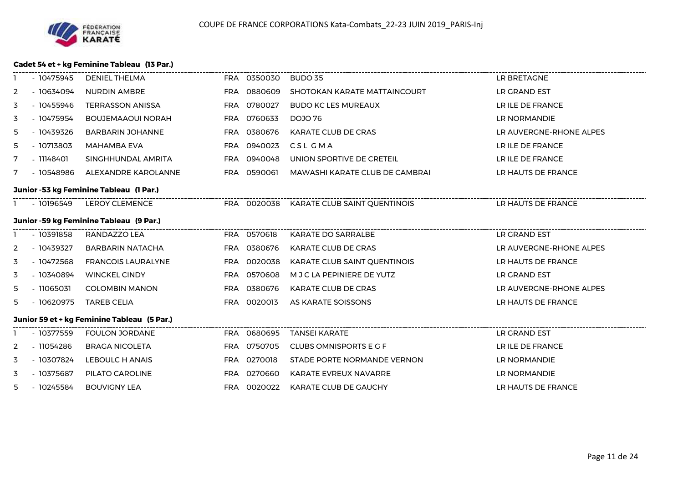#### **Cadet 54 et + kg Feminine Tableau (13 Par.)**

|   | - 10475945  | <b>DENIEL THELMA</b>                        | FRA 0350030 | BUDO 35                                  | LR BRETAGNE             |
|---|-------------|---------------------------------------------|-------------|------------------------------------------|-------------------------|
| 2 | - 10634094  | <b>NURDIN AMBRE</b>                         | FRA 0880609 | SHOTOKAN KARATE MATTAINCOURT             | LR GRAND EST            |
| 3 | $-10455946$ | <b>TERRASSON ANISSA</b>                     | FRA 0780027 | <b>BUDO KC LES MUREAUX</b>               | LR ILE DE FRANCE        |
| 3 | - 10475954  | <b>BOUJEMAAOUI NORAH</b>                    | FRA 0760633 | <b>DOJO 76</b>                           | LR NORMANDIE            |
| 5 | - 10439326  | <b>BARBARIN JOHANNE</b>                     | FRA 0380676 | KARATE CLUB DE CRAS                      | LR AUVERGNE-RHONE ALPES |
| 5 | $-10713803$ | MAHAMBA EVA                                 | FRA 0940023 | CSL GMA                                  | LR ILE DE FRANCE        |
| 7 | $-11148401$ | SINGHHUNDAL AMRITA                          | FRA 0940048 | UNION SPORTIVE DE CRETEIL                | LR ILE DE FRANCE        |
| 7 | - 10548986  | ALEXANDRE KAROLANNE                         | FRA 0590061 | MAWASHI KARATE CLUB DE CAMBRAI           | LR HAUTS DE FRANCE      |
|   |             | Junior -53 kg Feminine Tableau (1 Par.)     |             |                                          |                         |
|   | - 10196549  | <b>LEROY CLEMENCE</b>                       |             | FRA 0020038 KARATE CLUB SAINT QUENTINOIS | LR HAUTS DE FRANCE      |
|   |             | Junior -59 kg Feminine Tableau (9 Par.)     |             |                                          |                         |
|   | $-10391858$ | RANDAZZO LEA                                | FRA 0570618 | KARATE DO SARRALBE                       | LR GRAND EST            |
| 2 | - 10439327  | <b>BARBARIN NATACHA</b>                     | FRA 0380676 | KARATE CLUB DE CRAS                      | LR AUVERGNE-RHONE ALPES |
| 3 | $-10472568$ | <b>FRANCOIS LAURALYNE</b>                   | FRA 0020038 | KARATE CLUB SAINT QUENTINOIS             | LR HAUTS DE FRANCE      |
| 3 | - 10340894  | <b>WINCKEL CINDY</b>                        | FRA 0570608 | M J C LA PEPINIERE DE YUTZ               | LR GRAND EST            |
| 5 | $-11065031$ | <b>COLOMBIN MANON</b>                       | FRA 0380676 | KARATE CLUB DE CRAS                      | LR AUVERGNE-RHONE ALPES |
| 5 | - 10620975  | <b>TAREB CELIA</b>                          | FRA 0020013 | AS KARATE SOISSONS                       | LR HAUTS DE FRANCE      |
|   |             | Junior 59 et + kg Feminine Tableau (5 Par.) |             |                                          |                         |
|   | - 10377559  | <b>FOULON JORDANE</b>                       | FRA 0680695 | <b>TANSEI KARATE</b>                     | LR GRAND EST            |
| 2 | $-11054286$ | <b>BRAGA NICOLETA</b>                       | FRA 0750705 | CLUBS OMNISPORTS E G F                   | LR ILE DE FRANCE        |
| 3 | - 10307824  | LEBOULC H ANAIS                             | FRA 0270018 | STADE PORTE NORMANDE VERNON              | LR NORMANDIE            |
| 3 | - 10375687  | PILATO CAROLINE                             | FRA 0270660 | KARATE EVREUX NAVARRE                    | LR NORMANDIE            |
| 5 | - 10245584  | <b>BOUVIGNY LEA</b>                         | FRA 0020022 | KARATE CLUB DE GAUCHY                    | LR HAUTS DE FRANCE      |
|   |             |                                             |             |                                          |                         |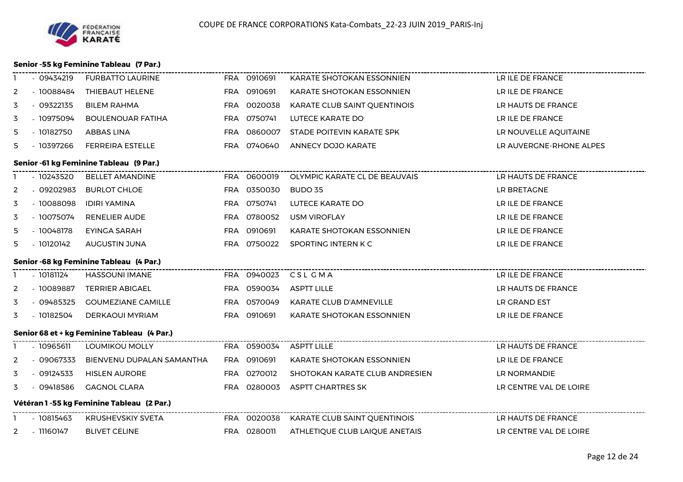#### **Senior -55 kg Feminine Tableau (7 Par.)**

|              | $-09434219$                             | <b>FURBATTO LAURINE</b>                     |  | FRA 0910691 | KARATE SHOTOKAN ESSONNIEN                                                 | LR ILE DE FRANCE        |  |  |  |
|--------------|-----------------------------------------|---------------------------------------------|--|-------------|---------------------------------------------------------------------------|-------------------------|--|--|--|
| 2            | - 10088484                              | THIEBAUT HELENE                             |  | FRA 0910691 | KARATE SHOTOKAN ESSONNIEN                                                 | LR ILE DE FRANCE        |  |  |  |
| 3            | $-09322135$                             | <b>BILEM RAHMA</b>                          |  | FRA 0020038 | KARATE CLUB SAINT QUENTINOIS                                              | LR HAUTS DE FRANCE      |  |  |  |
| 3            | - 10975094                              | <b>BOULENOUAR FATIHA</b>                    |  | FRA 0750741 | LUTECE KARATE DO                                                          | LR ILE DE FRANCE        |  |  |  |
| 5            | - 10182750                              | ABBAS LINA                                  |  | FRA 0860007 | STADE POITEVIN KARATE SPK                                                 | LR NOUVELLE AQUITAINE   |  |  |  |
| 5.           | - 10397266                              | <b>FERREIRA ESTELLE</b>                     |  | FRA 0740640 | ANNECY DOJO KARATE                                                        | LR AUVERGNE-RHONE ALPES |  |  |  |
|              |                                         | Senior -61 kg Feminine Tableau (9 Par.)     |  |             |                                                                           |                         |  |  |  |
|              |                                         | - 10243520 BELLET AMANDINE                  |  |             | FRA 0600019 OLYMPIC KARATE CL DE BEAUVAIS                                 | LR HAUTS DE FRANCE      |  |  |  |
| 2            | $-09202983$                             | <b>BURLOT CHLOE</b>                         |  | FRA 0350030 | BUDO 35                                                                   | LR BRETAGNE             |  |  |  |
| 3            | - 10088098                              | IDIRI YAMINA                                |  | FRA 0750741 | LUTECE KARATE DO                                                          | LR ILE DE FRANCE        |  |  |  |
| 3            | - 10075074                              | RENELIER AUDE                               |  | FRA 0780052 | <b>USM VIROFLAY</b>                                                       | LR ILE DE FRANCE        |  |  |  |
| 5            | - 10048178                              | EYINGA SARAH                                |  | FRA 0910691 | KARATE SHOTOKAN ESSONNIEN                                                 | LR ILE DE FRANCE        |  |  |  |
| 5            | $-10120142$                             | AUGUSTIN JUNA                               |  | FRA 0750022 | SPORTING INTERN K C                                                       | LR ILE DE FRANCE        |  |  |  |
|              | Senior -68 kg Feminine Tableau (4 Par.) |                                             |  |             |                                                                           |                         |  |  |  |
|              |                                         |                                             |  |             |                                                                           |                         |  |  |  |
|              | - 10181124                              | <b>HASSOUNI IMANE</b>                       |  |             | FRA 0940023 CSLCMA                                                        | LR ILE DE FRANCE        |  |  |  |
| 2            | $-10089887$                             | <b>TERRIER ABIGAEL</b>                      |  | FRA 0590034 | <b>ASPTT LILLE</b>                                                        | LR HAUTS DE FRANCE      |  |  |  |
| 3            | - 09485325                              | <b>GOUMEZIANE CAMILLE</b>                   |  | FRA 0570049 | KARATE CLUB D'AMNEVILLE                                                   | LR GRAND EST            |  |  |  |
| 3            | $-10182504$                             | DERKAOUI MYRIAM                             |  | FRA 0910691 | KARATE SHOTOKAN ESSONNIEN                                                 | LR ILE DE FRANCE        |  |  |  |
|              |                                         | Senior 68 et + kg Feminine Tableau (4 Par.) |  |             |                                                                           |                         |  |  |  |
|              | $-10965611$                             | LOUMIKOU MOLLY                              |  | FRA 0590034 | <b>ASPTT LILLE</b>                                                        | LR HAUTS DE FRANCE      |  |  |  |
| $\mathbf{2}$ | - 09067333                              | BIENVENU DUPALAN SAMANTHA                   |  | FRA 0910691 | KARATE SHOTOKAN ESSONNIEN                                                 | LR ILE DE FRANCE        |  |  |  |
| 3            | $-09124533$                             | <b>HISLEN AURORE</b>                        |  | FRA 0270012 | SHOTOKAN KARATE CLUB ANDRESIEN                                            | LR NORMANDIE            |  |  |  |
| 3            | - 09418586                              | <b>GAGNOL CLARA</b>                         |  | FRA 0280003 | ASPTT CHARTRES SK                                                         | LR CENTRE VAL DE LOIRE  |  |  |  |
|              |                                         | Vétéran 1 - 55 kg Feminine Tableau (2 Par.) |  |             |                                                                           |                         |  |  |  |
|              | - 10815463                              | KRUSHEVSKIY SVETA                           |  |             | -----------------------------<br>FRA 0020038 KARATE CLUB SAINT QUENTINOIS | LR HAUTS DE FRANCE      |  |  |  |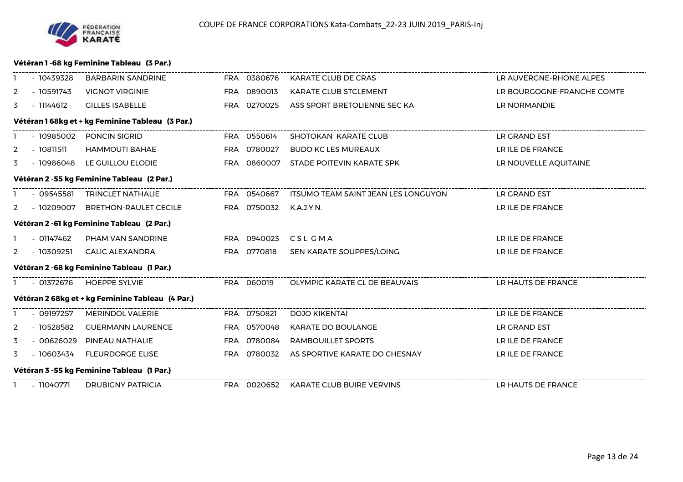

#### **Vétéran 1 -68 kg Feminine Tableau (3 Par.)**

|                | - 10439328                                      | BARBARIN SANDRINE                                |  |             | FRA 0380676 KARATE CLUB DE CRAS          | LR AUVERGNE-RHONE ALPES    |  |  |  |  |  |
|----------------|-------------------------------------------------|--------------------------------------------------|--|-------------|------------------------------------------|----------------------------|--|--|--|--|--|
| 2              | - 10591743                                      | <b>VIGNOT VIRGINIE</b>                           |  | FRA 0890013 | KARATE CLUB STCLEMENT                    | LR BOURGOGNE-FRANCHE COMTE |  |  |  |  |  |
| 3              | - 11144612                                      | <b>GILLES ISABELLE</b>                           |  | FRA 0270025 | ASS SPORT BRETOLIENNE SEC KA             | LR NORMANDIE               |  |  |  |  |  |
|                | Vétéran 168kg et + kg Feminine Tableau (3 Par.) |                                                  |  |             |                                          |                            |  |  |  |  |  |
|                |                                                 | - 10985002 PONCIN SIGRID                         |  | FRA 0550614 | SHOTOKAN KARATE CLUB                     | LR GRAND EST               |  |  |  |  |  |
| 2              | - 10811511                                      | HAMMOUTI BAHAE                                   |  | FRA 0780027 | <b>BUDO KC LES MUREAUX</b>               | LR ILE DE FRANCE           |  |  |  |  |  |
| 3              |                                                 | - 10986048 LE GUILLOU ELODIE                     |  | FRA 0860007 | STADE POITEVIN KARATE SPK                | LR NOUVELLE AQUITAINE      |  |  |  |  |  |
|                | Vétéran 2 -55 kg Feminine Tableau (2 Par.)      |                                                  |  |             |                                          |                            |  |  |  |  |  |
|                |                                                 | - 09545581 TRINCLET NATHALIE                     |  | FRA 0540667 | ITSUMO TEAM SAINT JEAN LES LONGUYON      | LR GRAND EST               |  |  |  |  |  |
|                | 2 - 10209007                                    | <b>BRETHON-RAULET CECILE</b>                     |  | FRA 0750032 | K.A.J.Y.N.                               | LR ILE DE FRANCE           |  |  |  |  |  |
|                |                                                 | Vétéran 2 -61 kg Feminine Tableau (2 Par.)       |  |             |                                          |                            |  |  |  |  |  |
|                |                                                 | - 01147462 PHAM VAN SANDRINE                     |  |             | FRA 0940023 CSL GMA                      | LR ILE DE FRANCE           |  |  |  |  |  |
| $\overline{2}$ |                                                 | - 10309251   CALIC ALEXANDRA                     |  | FRA 0770818 | SEN KARATE SOUPPES/LOING                 | LR ILE DE FRANCE           |  |  |  |  |  |
|                |                                                 | Vétéran 2 -68 kg Feminine Tableau (1 Par.)       |  |             |                                          |                            |  |  |  |  |  |
|                |                                                 | 1 - 01372676 HOEPPE SYLVIE                       |  |             | FRA 060019 OLYMPIC KARATE CL DE BEAUVAIS | LR HAUTS DE FRANCE         |  |  |  |  |  |
|                |                                                 | Vétéran 2 68kg et + kg Feminine Tableau (4 Par.) |  |             |                                          |                            |  |  |  |  |  |
|                | - 09197257                                      | <b>MERINDOL VALERIE</b>                          |  | FRA 0750821 | DOJO KIKENTAI                            | LR ILE DE FRANCE           |  |  |  |  |  |
| 2              | - 10528582                                      | <b>GUERMANN LAURENCE</b>                         |  | FRA 0570048 | KARATE DO BOULANGE                       | LR GRAND EST               |  |  |  |  |  |
| 3              | - 00626029                                      | PINEAU NATHALIE                                  |  | FRA 0780084 | RAMBOUILLET SPORTS                       | LR ILE DE FRANCE           |  |  |  |  |  |
| 3              | - 10603434                                      | <b>FLEURDORGE ELISE</b>                          |  | FRA 0780032 | AS SPORTIVE KARATE DO CHESNAY            | LR ILE DE FRANCE           |  |  |  |  |  |
|                |                                                 | Vétéran 3 -55 kg Feminine Tableau (1 Par.)       |  |             |                                          |                            |  |  |  |  |  |
|                |                                                 | 1 - 11040771 DRUBIGNY PATRICIA                   |  |             | FRA 0020652 KARATE CLUB BUIRE VERVINS    | LR HAUTS DE FRANCE         |  |  |  |  |  |
|                |                                                 |                                                  |  |             |                                          |                            |  |  |  |  |  |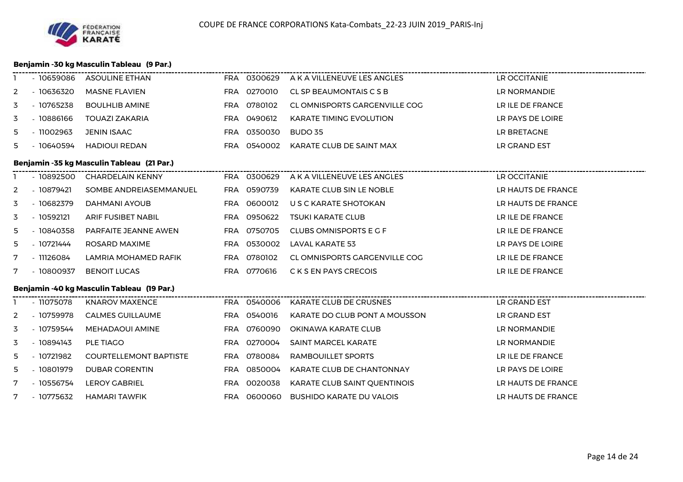#### **Benjamin -30 kg Masculin Tableau (9 Par.)**

|                |             | - 10659086 ASOULINE ETHAN                     |             | FRA 0300629 A K A VILLENEUVE LES ANGLES | LR OCCITANIE       |
|----------------|-------------|-----------------------------------------------|-------------|-----------------------------------------|--------------------|
| 2              | $-10636320$ | <b>MASNE FLAVIEN</b>                          | FRA 0270010 | CL SP BEAUMONTAIS C S B                 | LR NORMANDIE       |
| 3              | - 10765238  | <b>BOULHLIB AMINE</b>                         | FRA 0780102 | CL OMNISPORTS GARGENVILLE COG           | LR ILE DE FRANCE   |
| 3              | $-10886166$ | <b>TOUAZI ZAKARIA</b>                         | FRA 0490612 | <b>KARATE TIMING EVOLUTION</b>          | LR PAYS DE LOIRE   |
| 5              | $-11002963$ | <b>JENIN ISAAC</b>                            | FRA 0350030 | <b>BUDO 35</b>                          | LR BRETAGNE        |
| 5              | - 10640594  | <b>HADIOUI REDAN</b>                          | FRA 0540002 | KARATE CLUB DE SAINT MAX                | LR GRAND EST       |
|                |             | Benjamin -35 kg Masculin Tableau (21 Par.)    |             |                                         |                    |
|                |             | - 10892500 CHARDELAIN KENNY                   |             |                                         |                    |
| 2              | - 10879421  | SOMBE ANDREIASEMMANUEL                        | FRA 0590739 | KARATE CLUB SIN LE NOBLE                | LR HAUTS DE FRANCE |
| 3              | - 10682379  | DAHMANI AYOUB                                 | FRA 0600012 | U S C KARATE SHOTOKAN                   | LR HAUTS DE FRANCE |
| 3              | $-10592121$ | ARIF FUSIBET NABIL                            | FRA 0950622 | <b>TSUKI KARATE CLUB</b>                | LR ILE DE FRANCE   |
| 5              | - 10840358  | PARFAITE JEANNE AWEN                          | FRA 0750705 | CLUBS OMNISPORTS E G F                  | LR ILE DE FRANCE   |
| 5              | - 10721444  | ROSARD MAXIME                                 | FRA 0530002 | LAVAL KARATE 53                         | LR PAYS DE LOIRE   |
| 7              | - 11126084  | LAMRIA MOHAMED RAFIK                          | FRA 0780102 | CL OMNISPORTS GARGENVILLE COG           | LR ILE DE FRANCE   |
| 7              | - 10800937  | <b>BENOIT LUCAS</b>                           | FRA 0770616 | C K S EN PAYS CRECOIS                   | LR ILE DE FRANCE   |
|                |             | Benjamin -40 kg Masculin Tableau (19 Par.)    |             |                                         |                    |
|                | - 11075078  | <b>KNAROV MAXENCE</b>                         |             |                                         |                    |
| $\overline{2}$ | - 10759978  | <b>ERA 0540016</b><br><b>CALMES GUILLAUME</b> |             | KARATE DO CLUB PONT A MOUSSON           | LR GRAND EST       |
| 3              | - 10759544  | MEHADAOUI AMINE                               | FRA 0760090 | OKINAWA KARATE CLUB                     | LR NORMANDIE       |
| 3              | $-10894143$ | PLE TIAGO                                     | FRA 0270004 | <b>SAINT MARCEL KARATE</b>              | LR NORMANDIE       |
| 5              | - 10721982  | <b>COURTELLEMONT BAPTISTE</b>                 | FRA 0780084 | RAMBOUILLET SPORTS                      | LR ILE DE FRANCE   |
| 5              | - 10801979  | <b>DUBAR CORENTIN</b>                         | FRA 0850004 | KARATE CLUB DE CHANTONNAY               | LR PAYS DE LOIRE   |
| 7              | - 10556754  | <b>LEROY GABRIEL</b>                          | FRA 0020038 | KARATE CLUB SAINT QUENTINOIS            | LR HAUTS DE FRANCE |
| 7              | - 10775632  | HAMARI TAWFIK                                 | FRA 0600060 | BUSHIDO KARATE DU VALOIS                | LR HAUTS DE FRANCE |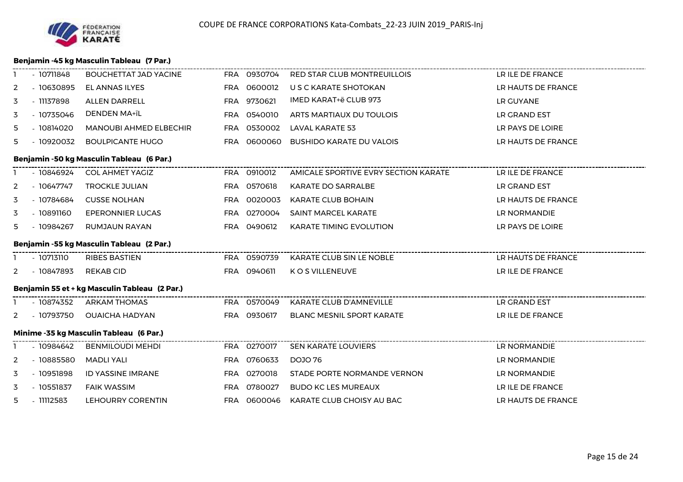#### **Benjamin -45 kg Masculin Tableau (7 Par.)**

|                | $-10711848$                               | BOUCHETTAT JAD YACINE                             |  |             | --------------------------<br>FRA 0930704 RED STAR CLUB MONTREUILLOIS | LR ILE DE FRANCE   |  |  |  |
|----------------|-------------------------------------------|---------------------------------------------------|--|-------------|-----------------------------------------------------------------------|--------------------|--|--|--|
| 2              | $-10630895$                               | EL ANNAS ILYES                                    |  | FRA 0600012 | U S C KARATE SHOTOKAN                                                 | LR HAUTS DE FRANCE |  |  |  |
| 3              | - 11137898                                | <b>ALLEN DARRELL</b>                              |  | FRA 9730621 | IMED KARAT+ë CLUB 973                                                 | LR GUYANE          |  |  |  |
| 3              | $-10735046$                               | DENDEN MA+ïL                                      |  | FRA 0540010 | ARTS MARTIAUX DU TOULOIS                                              | LR GRAND EST       |  |  |  |
| 5              | $-10814020$                               | <b>MANOUBI AHMED ELBECHIR</b>                     |  | FRA 0530002 | LAVAL KARATE 53                                                       | LR PAYS DE LOIRE   |  |  |  |
| 5              | $-10920032$                               | <b>BOULPICANTE HUGO</b>                           |  | FRA 0600060 | <b>BUSHIDO KARATE DU VALOIS</b>                                       | LR HAUTS DE FRANCE |  |  |  |
|                |                                           | Benjamin -50 kg Masculin Tableau (6 Par.)         |  |             |                                                                       |                    |  |  |  |
|                | $-10846924$                               | <b>COL AHMET YAGIZ</b>                            |  | FRA 0910012 |                                                                       |                    |  |  |  |
| 2              | - 10647747                                | <b>TROCKLE JULIAN</b>                             |  | FRA 0570618 | KARATE DO SARRALBE                                                    | LR GRAND EST       |  |  |  |
| 3              | - 10784684                                | <b>CUSSE NOLHAN</b>                               |  | FRA 0020003 | KARATE CLUB BOHAIN                                                    | LR HAUTS DE FRANCE |  |  |  |
| 3              | $-10891160$                               | EPERONNIER LUCAS                                  |  | FRA 0270004 | <b>SAINT MARCEL KARATE</b>                                            | LR NORMANDIE       |  |  |  |
| 5.             | - 10984267                                | RUMJAUN RAYAN                                     |  | FRA 0490612 | <b>KARATE TIMING EVOLUTION</b>                                        | LR PAYS DE LOIRE   |  |  |  |
|                | Benjamin -55 kg Masculin Tableau (2 Par.) |                                                   |  |             |                                                                       |                    |  |  |  |
|                |                                           |                                                   |  |             |                                                                       |                    |  |  |  |
|                | - 10713110                                | -------------------------<br><b>RIBES BASTIEN</b> |  |             |                                                                       |                    |  |  |  |
| $\overline{2}$ | - 10847893                                | REKAB CID                                         |  | FRA 0940611 | K O S VILLENEUVE                                                      | LR ILE DE FRANCE   |  |  |  |
|                |                                           | Benjamin 55 et + kg Masculin Tableau (2 Par.)     |  |             |                                                                       |                    |  |  |  |
|                |                                           | - 10874352 ARKAM THOMAS                           |  |             | FRA 0570049 KARATE CLUB D'AMNEVILLE                                   | LR GRAND EST       |  |  |  |
| 2              | - 10793750                                | <b>OUAICHA HADYAN</b>                             |  | FRA 0930617 | <b>BLANC MESNIL SPORT KARATE</b>                                      | LR ILE DE FRANCE   |  |  |  |
|                |                                           | Minime -35 kg Masculin Tableau (6 Par.)           |  |             |                                                                       |                    |  |  |  |
|                | - 10984642                                | <b>BENMILOUDI MEHDI</b>                           |  | FRA 0270017 | SEN KARATE LOUVIERS                                                   | LR NORMANDIE       |  |  |  |
| 2              | $-10885580$                               | MADLI YALI                                        |  | FRA 0760633 | DOJO 76                                                               | LR NORMANDIE       |  |  |  |
| 3              | $-10951898$                               | ID YASSINE IMRANE                                 |  | FRA 0270018 | STADE PORTE NORMANDE VERNON                                           | LR NORMANDIE       |  |  |  |
| 3              | $-10551837$                               | <b>FAIK WASSIM</b>                                |  | FRA 0780027 | <b>BUDO KC LES MUREAUX</b>                                            | LR ILE DE FRANCE   |  |  |  |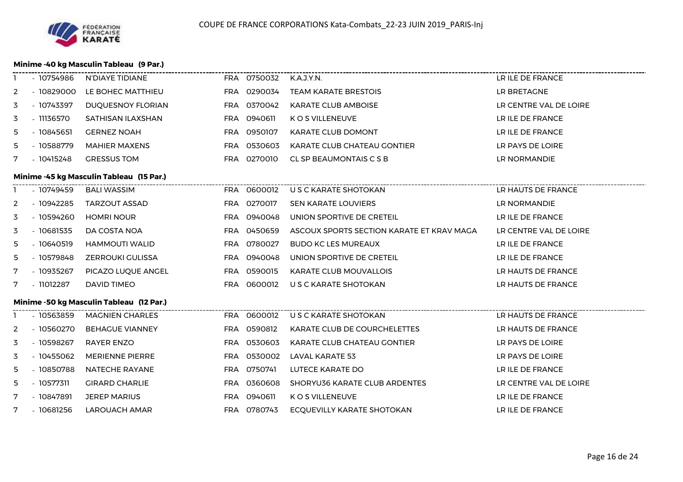

#### **Minime -40 kg Masculin Tableau (9 Par.)**

| п. | - 10754986                               | N'DIAYE TIDIANE                                                      |  | FRA 0750032 | K.A.J.Y.N.                                | LR ILE DE FRANCE       |  |  |  |  |
|----|------------------------------------------|----------------------------------------------------------------------|--|-------------|-------------------------------------------|------------------------|--|--|--|--|
| 2  | $-10829000$                              | LE BOHEC MATTHIEU                                                    |  | FRA 0290034 | <b>TEAM KARATE BRESTOIS</b>               | LR BRETAGNE            |  |  |  |  |
| 3  | - 10743397                               | DUQUESNOY FLORIAN                                                    |  | FRA 0370042 | <b>KARATE CLUB AMBOISE</b>                | LR CENTRE VAL DE LOIRE |  |  |  |  |
| 3  | - 11136570                               | SATHISAN ILAXSHAN                                                    |  | FRA 0940611 | K O S VILLENEUVE                          | LR ILE DE FRANCE       |  |  |  |  |
| 5  | $-10845651$                              | <b>GERNEZ NOAH</b>                                                   |  | FRA 0950107 | <b>KARATE CLUB DOMONT</b>                 | LR ILE DE FRANCE       |  |  |  |  |
| 5  | - 10588779                               | <b>MAHIER MAXENS</b>                                                 |  | FRA 0530603 | KARATE CLUB CHATEAU GONTIER               | LR PAYS DE LOIRE       |  |  |  |  |
| 7  | $-10415248$                              | <b>GRESSUS TOM</b>                                                   |  | FRA 0270010 | CL SP BEAUMONTAIS C S B                   | LR NORMANDIE           |  |  |  |  |
|    | Minime -45 kg Masculin Tableau (15 Par.) |                                                                      |  |             |                                           |                        |  |  |  |  |
|    | - 10749459                               | <b>BALI WASSIM</b>                                                   |  | FRA 0600012 | U S C KARATE SHOTOKAN                     | LR HAUTS DE FRANCE     |  |  |  |  |
| 2  | $-10942285$                              | <b>TARZOUT ASSAD</b>                                                 |  | FRA 0270017 | SEN KARATE LOUVIERS                       | LR NORMANDIE           |  |  |  |  |
| 3  | $-10594260$                              | <b>HOMRI NOUR</b>                                                    |  | FRA 0940048 | UNION SPORTIVE DE CRETEIL                 | LR ILE DE FRANCE       |  |  |  |  |
| 3  | $-10681535$                              | DA COSTA NOA                                                         |  | FRA 0450659 | ASCOUX SPORTS SECTION KARATE ET KRAV MAGA | LR CENTRE VAL DE LOIRE |  |  |  |  |
| 5  | $-10640519$                              | <b>HAMMOUTI WALID</b>                                                |  | FRA 0780027 | <b>BUDO KC LES MUREAUX</b>                | LR ILE DE FRANCE       |  |  |  |  |
| 5  | - 10579848                               | <b>ZERROUKI GULISSA</b>                                              |  | FRA 0940048 | UNION SPORTIVE DE CRETEIL                 | LR ILE DE FRANCE       |  |  |  |  |
| 7  | - 10935267                               | PICAZO LUQUE ANGEL                                                   |  | FRA 0590015 | <b>KARATE CLUB MOUVALLOIS</b>             | LR HAUTS DE FRANCE     |  |  |  |  |
| 7  | - 11012287                               | DAVID TIMEO                                                          |  | FRA 0600012 | U S C KARATE SHOTOKAN                     | LR HAUTS DE FRANCE     |  |  |  |  |
|    |                                          | Minime -50 kg Masculin Tableau (12 Par.)<br>. ______________________ |  |             |                                           |                        |  |  |  |  |
|    | $-10563859$                              | <b>MAGNIEN CHARLES</b>                                               |  | FRA 0600012 | U S C KARATE SHOTOKAN                     | LR HAUTS DE FRANCE     |  |  |  |  |
| 2  | - 10560270                               | <b>BEHAGUE VIANNEY</b>                                               |  | FRA 0590812 | KARATE CLUB DE COURCHELETTES              | LR HAUTS DE FRANCE     |  |  |  |  |
| 3  | - 10598267                               | RAYER ENZO                                                           |  | FRA 0530603 | KARATE CLUB CHATEAU GONTIER               | LR PAYS DE LOIRE       |  |  |  |  |
| 3  | - 10455062                               | <b>MERIENNE PIERRE</b>                                               |  | FRA 0530002 | LAVAL KARATE 53                           | LR PAYS DE LOIRE       |  |  |  |  |
| 5  | $-10850788$                              | <b>NATECHE RAYANE</b>                                                |  | FRA 0750741 | LUTECE KARATE DO                          | LR ILE DE FRANCE       |  |  |  |  |
| 5  | $-10577311$                              | <b>GIRARD CHARLIE</b>                                                |  | FRA 0360608 | SHORYU36 KARATE CLUB ARDENTES             | LR CENTRE VAL DE LOIRE |  |  |  |  |
| 7  | $-10847891$                              | <b>JEREP MARIUS</b>                                                  |  | FRA 0940611 | K O S VILLENEUVE                          | LR ILE DE FRANCE       |  |  |  |  |
| 7  | $-10681256$                              | LAROUACH AMAR                                                        |  | FRA 0780743 | ECQUEVILLY KARATE SHOTOKAN                | LR ILE DE FRANCE       |  |  |  |  |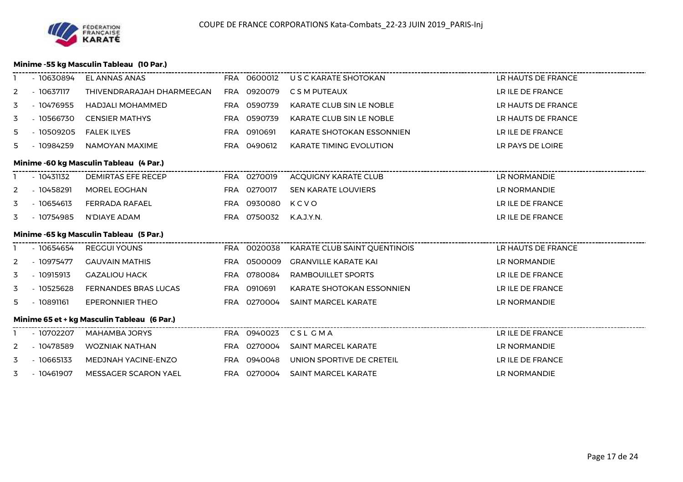

#### **Minime -55 kg Masculin Tableau (10 Par.)**

|    | - 10630894                              | EL ANNAS ANAS                               |  | FRA 0600012 | U S C KARATE SHOTOKAN             | LR HAUTS DE FRANCE |  |  |  |  |
|----|-----------------------------------------|---------------------------------------------|--|-------------|-----------------------------------|--------------------|--|--|--|--|
| 2  | $-10637117$                             | THIVENDRARAJAH DHARMEEGAN                   |  | FRA 0920079 | C S M PUTEAUX                     | LR ILE DE FRANCE   |  |  |  |  |
| 3  | $-10476955$                             | <b>HADJALI MOHAMMED</b>                     |  | FRA 0590739 | <b>KARATE CLUB SIN LE NOBLE</b>   | LR HAUTS DE FRANCE |  |  |  |  |
| 3  | $-10566730$                             | <b>CENSIER MATHYS</b>                       |  | FRA 0590739 | KARATE CLUB SIN LE NOBLE          | LR HAUTS DE FRANCE |  |  |  |  |
| 5  | $-10509205$                             | <b>FALEK ILYES</b>                          |  | FRA 0910691 | KARATE SHOTOKAN ESSONNIEN         | LR ILE DE FRANCE   |  |  |  |  |
| 5. | - 10984259                              | NAMOYAN MAXIME                              |  | FRA 0490612 | <b>KARATE TIMING EVOLUTION</b>    | LR PAYS DE LOIRE   |  |  |  |  |
|    | Minime -60 kg Masculin Tableau (4 Par.) |                                             |  |             |                                   |                    |  |  |  |  |
|    | $-10431132$                             | <b>DEMIRTAS EFE RECEP</b>                   |  | FRA 0270019 | <b>ACQUIGNY KARATE CLUB</b>       | LR NORMANDIE       |  |  |  |  |
| 2  | $-10458291$                             | <b>MOREL EOGHAN</b>                         |  | FRA 0270017 | SEN KARATE LOUVIERS               | LR NORMANDIE       |  |  |  |  |
| 3  | $-10654613$                             | FERRADA RAFAEL                              |  | FRA 0930080 | KCVO                              | LR ILE DE FRANCE   |  |  |  |  |
| 3  | - 10754985                              | N'DIAYE ADAM                                |  | FRA 0750032 | K.A.J.Y.N.                        | LR ILE DE FRANCE   |  |  |  |  |
|    |                                         | Minime -65 kg Masculin Tableau (5 Par.)     |  |             | --------------------------------- |                    |  |  |  |  |
|    | - 10654654                              | <b>REGGUI YOUNS</b>                         |  | FRA 0020038 | KARATE CLUB SAINT OUENTINOIS      | LR HAUTS DE FRANCE |  |  |  |  |
| 2  | - 10975477                              | <b>GAUVAIN MATHIS</b>                       |  | FRA 0500009 | <b>GRANVILLE KARATE KAI</b>       | LR NORMANDIE       |  |  |  |  |
| 3  | $-10915913$                             | <b>GAZALIOU HACK</b>                        |  | FRA 0780084 | RAMBOUILLET SPORTS                | LR ILE DE FRANCE   |  |  |  |  |
| 3  | $-10525628$                             | <b>FERNANDES BRAS LUCAS</b>                 |  | FRA 0910691 | KARATE SHOTOKAN ESSONNIEN         | LR ILE DE FRANCE   |  |  |  |  |
| 5  | $-10891161$                             | <b>EPERONNIER THEO</b>                      |  | FRA 0270004 | SAINT MARCEL KARATE               | LR NORMANDIE       |  |  |  |  |
|    |                                         | Minime 65 et + kg Masculin Tableau (6 Par.) |  |             |                                   |                    |  |  |  |  |
|    | - 10702207                              | MAHAMBA JORYS                               |  |             | FRA 0940023 CSL GMA               | LR ILE DE FRANCE   |  |  |  |  |
| 2  | - 10478589                              | <b>WOZNIAK NATHAN</b>                       |  | FRA 0270004 | <b>SAINT MARCEL KARATE</b>        | LR NORMANDIE       |  |  |  |  |
| 3  | $-10665133$                             | MEDJNAH YACINE-ENZO                         |  | FRA 0940048 | UNION SPORTIVE DE CRETEIL         | LR ILE DE FRANCE   |  |  |  |  |
| 3  | - 10461907                              | <b>MESSAGER SCARON YAEL</b>                 |  | FRA 0270004 | <b>SAINT MARCEL KARATE</b>        | LR NORMANDIE       |  |  |  |  |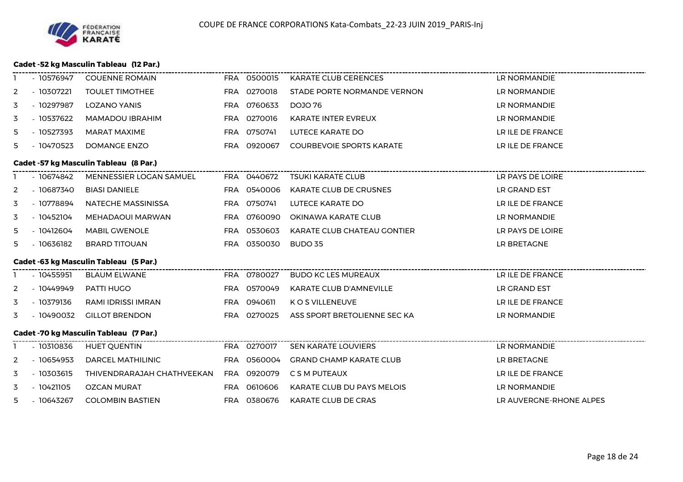#### **Cadet -52 kg Masculin Tableau (12 Par.)**

|   | - 10576947  | <b>COUENNE ROMAIN</b>                         | FRA 0500015 | <b>KARATE CLUB CERENCES</b>            | <b>LR NORMANDIE</b>     |
|---|-------------|-----------------------------------------------|-------------|----------------------------------------|-------------------------|
| 2 | $-10307221$ | <b>TOULET TIMOTHEE</b>                        | FRA 0270018 | STADE PORTE NORMANDE VERNON            | LR NORMANDIE            |
| 3 | - 10297987  | LOZANO YANIS                                  | FRA 0760633 | DOJO 76                                | LR NORMANDIE            |
| 3 | $-10537622$ | <b>MAMADOU IBRAHIM</b>                        | FRA 0270016 | <b>KARATE INTER EVREUX</b>             | LR NORMANDIE            |
| 5 | $-10527393$ | <b>MARAT MAXIME</b>                           | FRA 0750741 | LUTECE KARATE DO                       | LR ILE DE FRANCE        |
| 5 | $-10470523$ | <b>DOMANGE ENZO</b>                           | FRA 0920067 | <b>COURBEVOIE SPORTS KARATE</b>        | LR ILE DE FRANCE        |
|   |             | <b>Cadet -57 kg Masculin Tableau (8 Par.)</b> |             |                                        |                         |
|   | - 10674842  | MENNESSIER LOGAN SAMUEL                       | FRA 0440672 | <b>TSUKI KARATE CLUB</b>               | LR PAYS DE LOIRE        |
| 2 | $-10687340$ | <b>BIASI DANIELE</b>                          | FRA 0540006 | <b>KARATE CLUB DE CRUSNES</b>          | LR GRAND EST            |
| 3 | - 10778894  | NATECHE MASSINISSA                            | FRA 0750741 | LUTECE KARATE DO                       | LR ILE DE FRANCE        |
| 3 | $-10452104$ | MEHADAOUI MARWAN                              | FRA 0760090 | OKINAWA KARATE CLUB                    | LR NORMANDIE            |
| 5 | $-10412604$ | <b>MABIL GWENOLE</b>                          | FRA 0530603 | KARATE CLUB CHATEAU GONTIER            | LR PAYS DE LOIRE        |
| 5 | $-10636182$ | <b>BRARD TITOUAN</b>                          | FRA 0350030 | BUDO 35                                | LR BRETAGNE             |
|   |             | Cadet -63 kg Masculin Tableau (5 Par.)        |             |                                        |                         |
|   | $-10455951$ | <b>BLAUM ELWANE</b>                           | FRA 0780027 | <b>BUDO KC LES MUREAUX</b>             | LR ILE DE FRANCE        |
| 2 | - 10449949  | PATTI HUGO                                    | FRA 0570049 | KARATE CLUB D'AMNEVILLE                | LR GRAND EST            |
| 3 | - 10379136  | RAMI IDRISSI IMRAN                            | FRA 0940611 | K O S VILLENEUVE                       | LR ILE DE FRANCE        |
| 3 | $-10490032$ | <b>GILLOT BRENDON</b>                         | FRA 0270025 | ASS SPORT BRETOLIENNE SEC KA           | LR NORMANDIE            |
|   |             | <b>Cadet -70 kg Masculin Tableau (7 Par.)</b> |             | -------------------------------------- |                         |
|   | $-10310836$ | <b>HUET QUENTIN</b>                           | FRA 0270017 | SEN KARATE LOUVIERS                    | LR NORMANDIE            |
| 2 | - 10654953  | DARCEL MATHILINIC                             | FRA 0560004 | <b>GRAND CHAMP KARATE CLUB</b>         | LR BRETAGNE             |
| 3 | $-10303615$ | THIVENDRARAJAH CHATHVEEKAN                    | FRA 0920079 | C S M PUTEAUX                          | LR ILE DE FRANCE        |
| 3 | $-10421105$ | <b>OZCAN MURAT</b>                            | FRA 0610606 | KARATE CLUB DU PAYS MELOIS             | LR NORMANDIE            |
| 5 | - 10643267  | <b>COLOMBIN BASTIEN</b>                       | FRA 0380676 | <b>KARATE CLUB DE CRAS</b>             | LR AUVERGNE-RHONE ALPES |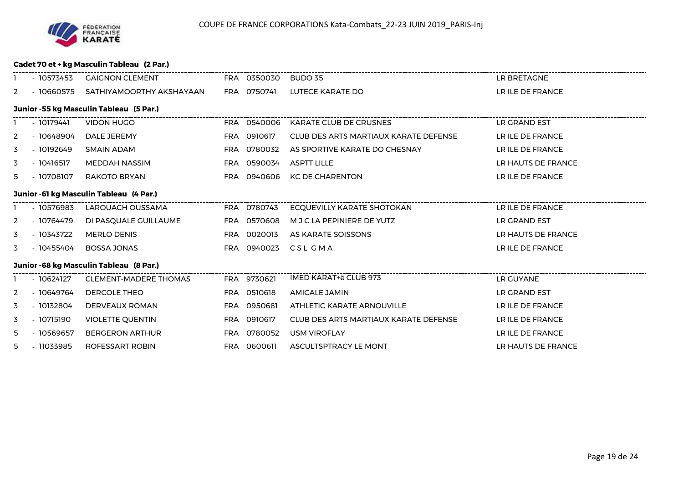

#### **Cadet 70 et + kg Masculin Tableau (2 Par.)**

|    | - 10573453                              | <b>GAIGNON CLEMENT</b>                  |            | FRA 0350030 BUDO 35 |                                       | LR BRETAGNE        |  |  |  |  |
|----|-----------------------------------------|-----------------------------------------|------------|---------------------|---------------------------------------|--------------------|--|--|--|--|
| 2  | - 10660575                              | SATHIYAMOORTHY AKSHAYAAN FRA 0750741    |            |                     | LUTECE KARATE DO                      | LR ILE DE FRANCE   |  |  |  |  |
|    | Junior -55 kg Masculin Tableau (5 Par.) |                                         |            |                     |                                       |                    |  |  |  |  |
|    | - 10179441                              | <b>VIDON HUGO</b>                       |            | FRA 0540006         | KARATE CLUB DE CRUSNES                | LR GRAND EST       |  |  |  |  |
| 2  | $-10648904$                             | DALE JEREMY                             |            | FRA 0910617         | CLUB DES ARTS MARTIAUX KARATE DEFENSE | LR ILE DE FRANCE   |  |  |  |  |
| 3  | $-10192649$                             | <b>SMAIN ADAM</b>                       | <b>FRA</b> | 0780032             | AS SPORTIVE KARATE DO CHESNAY         | LR ILE DE FRANCE   |  |  |  |  |
| 3  | - 10416517                              | MEDDAH NASSIM                           |            | FRA 0590034         | <b>ASPTT LILLE</b>                    | LR HAUTS DE FRANCE |  |  |  |  |
| 5. | - 10708107                              | RAKOTO BRYAN                            | FRA        | 0940606             | <b>KC DE CHARENTON</b>                | LR ILE DE FRANCE   |  |  |  |  |
|    | Junior -61 kg Masculin Tableau (4 Par.) |                                         |            |                     |                                       |                    |  |  |  |  |
|    | $-10576983$                             | LAROUACH OUSSAMA                        |            | FRA 0780743         | <b>ECOUEVILLY KARATE SHOTOKAN</b>     | LR ILE DE FRANCE   |  |  |  |  |
| 2  | - 10764479                              | DI PASQUALE GUILLAUME                   |            | FRA 0570608         | M J C LA PEPINIERE DE YUTZ            | LR GRAND EST       |  |  |  |  |
| 3  | $-10343722$                             | <b>MERLO DENIS</b>                      |            | FRA 0020013         | AS KARATE SOISSONS                    | LR HAUTS DE FRANCE |  |  |  |  |
| 3  | - 10455404                              | <b>BOSSA JONAS</b>                      |            | FRA 0940023         | CSL GMA                               | LR ILE DE FRANCE   |  |  |  |  |
|    |                                         | Junior -68 kg Masculin Tableau (8 Par.) |            |                     |                                       |                    |  |  |  |  |
|    | $-10624127$                             | <b>CLEMENT-MADERE THOMAS</b>            |            | FRA 9730621         | <b>IMED KARAT+ë CLUB 973</b>          | LR GUYANE          |  |  |  |  |
| 2  | - 10649764                              | DERCOLE THEO                            |            | FRA 0510618         | <b>AMICALE JAMIN</b>                  | LR GRAND EST       |  |  |  |  |
| 3  | $-10132804$                             | DERVEAUX ROMAN                          | FRA        | 0950681             | ATHLETIC KARATE ARNOUVILLE            | LR ILE DE FRANCE   |  |  |  |  |
| 3  | $-10715190$                             | <b>VIOLETTE QUENTIN</b>                 | <b>FRA</b> | 0910617             | CLUB DES ARTS MARTIAUX KARATE DEFENSE | LR ILE DE FRANCE   |  |  |  |  |
| 5  | $-10569657$                             | <b>BERGERON ARTHUR</b>                  |            | FRA 0780052         | <b>USM VIROFLAY</b>                   | LR ILE DE FRANCE   |  |  |  |  |
| 5  | - 11033985                              | <b>ROFESSART ROBIN</b>                  | <b>FRA</b> | 0600611             | ASCULTSPTRACY LE MONT                 | LR HAUTS DE FRANCE |  |  |  |  |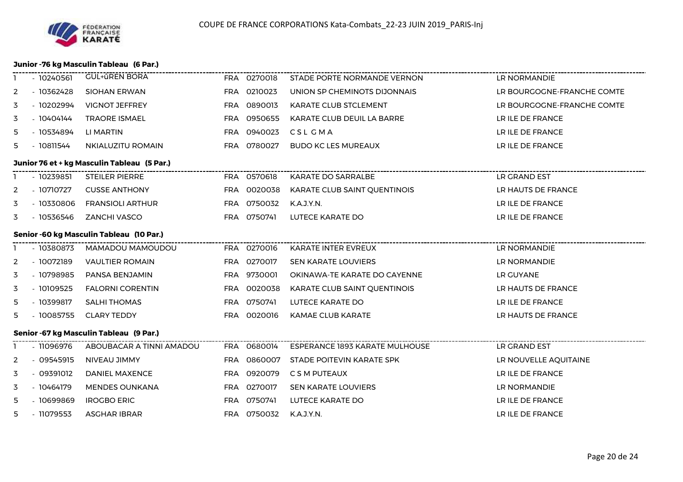#### **Junior -76 kg Masculin Tableau (6 Par.)**

|                | $-10240561$                              | <b>GUL+ûREN BORA</b>                        |  | FRA 0270018 | STADE PORTE NORMANDE VERNON                                     | LR NORMANDIE               |  |  |  |  |
|----------------|------------------------------------------|---------------------------------------------|--|-------------|-----------------------------------------------------------------|----------------------------|--|--|--|--|
| 2              | $-10362428$                              | <b>SIOHAN ERWAN</b>                         |  | FRA 0210023 | UNION SP CHEMINOTS DIJONNAIS                                    | LR BOURGOGNE-FRANCHE COMTE |  |  |  |  |
| 3              | - 10202994                               | <b>VIGNOT JEFFREY</b>                       |  | FRA 0890013 | KARATE CLUB STCLEMENT                                           | LR BOURGOGNE-FRANCHE COMTE |  |  |  |  |
| 3              | - 10404144                               | <b>TRAORE ISMAEL</b>                        |  | FRA 0950655 | KARATE CLUB DEUIL LA BARRE                                      | LR ILE DE FRANCE           |  |  |  |  |
| 5              | - 10534894                               | LI MARTIN                                   |  | FRA 0940023 | CSL GMA                                                         | LR ILE DE FRANCE           |  |  |  |  |
| 5              | $-10811544$                              | NKIALUZITU ROMAIN                           |  | FRA 0780027 | <b>BUDO KC LES MUREAUX</b>                                      | LR ILE DE FRANCE           |  |  |  |  |
|                |                                          | Junior 76 et + kg Masculin Tableau (5 Par.) |  |             |                                                                 |                            |  |  |  |  |
|                | $-10239851$                              | STEILER PIERRE                              |  | FRA 0570618 | KARATE DO SARRALBE                                              | LR GRAND EST               |  |  |  |  |
| 2              | - 10710727                               | <b>CUSSE ANTHONY</b>                        |  | FRA 0020038 | KARATE CLUB SAINT QUENTINOIS                                    | LR HAUTS DE FRANCE         |  |  |  |  |
| 3              | - 10330806                               | <b>FRANSIOLI ARTHUR</b>                     |  | FRA 0750032 | K.A.J.Y.N.                                                      | LR ILE DE FRANCE           |  |  |  |  |
| 3              | - 10536546                               | <b>ZANCHI VASCO</b>                         |  | FRA 0750741 | LUTECE KARATE DO                                                | LR ILE DE FRANCE           |  |  |  |  |
|                | Senior -60 kg Masculin Tableau (10 Par.) |                                             |  |             |                                                                 |                            |  |  |  |  |
|                | - 10380873                               | MAMADOU MAMOUDOU                            |  | FRA 0270016 |                                                                 | LR NORMANDIE               |  |  |  |  |
| $\overline{2}$ | $-10072189$                              | <b>VAULTIER ROMAIN</b>                      |  | FRA 0270017 | SEN KARATE LOUVIERS                                             | LR NORMANDIE               |  |  |  |  |
| 3              | - 10798985                               | PANSA BENJAMIN                              |  | FRA 9730001 | OKINAWA-TE KARATE DO CAYENNE                                    | LR GUYANE                  |  |  |  |  |
| 3              | $-10109525$                              | <b>FALORNI CORENTIN</b>                     |  | FRA 0020038 | KARATE CLUB SAINT QUENTINOIS                                    | LR HAUTS DE FRANCE         |  |  |  |  |
| 5              | - 10399817                               | <b>SALHI THOMAS</b>                         |  | FRA 0750741 | LUTECE KARATE DO                                                | LR ILE DE FRANCE           |  |  |  |  |
| 5              | $-10085755$                              | <b>CLARY TEDDY</b>                          |  | FRA 0020016 | <b>KAMAE CLUB KARATE</b>                                        | LR HAUTS DE FRANCE         |  |  |  |  |
|                |                                          | Senior -67 kg Masculin Tableau (9 Par.)     |  |             |                                                                 |                            |  |  |  |  |
|                | $-11096976$                              | ABOUBACAR A TINNI AMADOU                    |  | FRA 0680014 | -----------------------------<br>ESPERANCE 1893 KARATE MULHOUSE | LR GRAND EST               |  |  |  |  |
| 2              | - 09545915                               | NIVEAU JIMMY                                |  | FRA 0860007 | STADE POITEVIN KARATE SPK                                       | LR NOUVELLE AQUITAINE      |  |  |  |  |
| 3              | $-09391012$                              | <b>DANIEL MAXENCE</b>                       |  | FRA 0920079 | C S M PUTEAUX                                                   | LR ILE DE FRANCE           |  |  |  |  |
| 3              | - 10464179                               | <b>MENDES OUNKANA</b>                       |  | FRA 0270017 | <b>SEN KARATE LOUVIERS</b>                                      | LR NORMANDIE               |  |  |  |  |
| 5              | - 10699869                               | <b>IROGBO ERIC</b>                          |  | FRA 0750741 | LUTECE KARATE DO                                                | LR ILE DE FRANCE           |  |  |  |  |
| 5              | - 11079553                               | <b>ASGHAR IBRAR</b>                         |  | FRA 0750032 | K.A.J.Y.N.                                                      | LR ILE DE FRANCE           |  |  |  |  |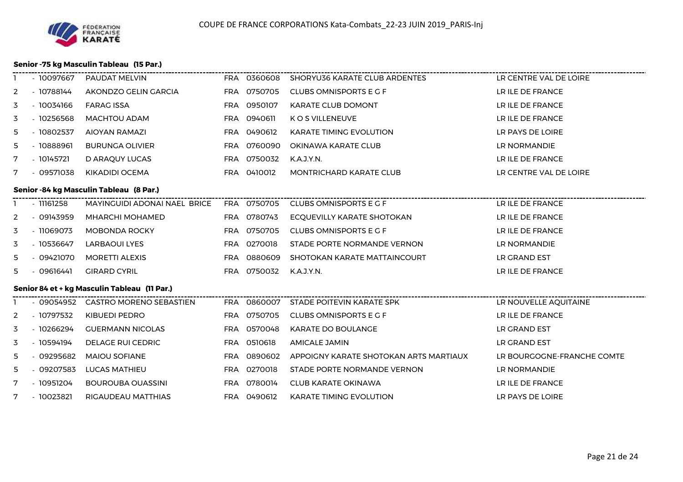#### **Senior -75 kg Masculin Tableau (15 Par.)**

|                | - 10097667                              | PAUDAT MELVIN                                                   |            | FRA 0360608 | <b>SHORYU36 KARATE CLUB ARDENTES</b>   | LR CENTRE VAL DE LOIRE     |  |  |  |  |
|----------------|-----------------------------------------|-----------------------------------------------------------------|------------|-------------|----------------------------------------|----------------------------|--|--|--|--|
| 2              | - 10788144                              | AKONDZO GELIN GARCIA                                            |            | FRA 0750705 | <b>CLUBS OMNISPORTS E G F</b>          | LR ILE DE FRANCE           |  |  |  |  |
| 3              | $-10034166$                             | <b>FARAG ISSA</b>                                               |            | FRA 0950107 | <b>KARATE CLUB DOMONT</b>              | LR ILE DE FRANCE           |  |  |  |  |
| 3              | $-10256568$                             | <b>MACHTOU ADAM</b>                                             |            | FRA 0940611 | K O S VILLENEUVE                       | LR ILE DE FRANCE           |  |  |  |  |
| 5.             | $-10802537$                             | AIOYAN RAMAZI                                                   |            | FRA 0490612 | <b>KARATE TIMING EVOLUTION</b>         | LR PAYS DE LOIRE           |  |  |  |  |
| 5              | $-10888961$                             | <b>BURUNGA OLIVIER</b>                                          |            | FRA 0760090 | OKINAWA KARATE CLUB                    | LR NORMANDIE               |  |  |  |  |
| 7              | $-10145721$                             | D ARAQUY LUCAS                                                  |            | FRA 0750032 | K.A.J.Y.N.                             | LR ILE DE FRANCE           |  |  |  |  |
| 7              | $-09571038$                             | KIKADIDI OCEMA                                                  |            | FRA 0410012 | <b>MONTRICHARD KARATE CLUB</b>         | LR CENTRE VAL DE LOIRE     |  |  |  |  |
|                | Senior -84 kg Masculin Tableau (8 Par.) |                                                                 |            |             |                                        |                            |  |  |  |  |
|                | $-11161258$                             | MAYINGUIDI ADONAI NAEL BRICE FRA 0750705 CLUBS OMNISPORTS E G F |            |             | -------------------------------------  | LR ILE DE FRANCE           |  |  |  |  |
| 2              | $-09143959$                             | <b>MHARCHI MOHAMED</b>                                          |            | FRA 0780743 | ECQUEVILLY KARATE SHOTOKAN             | LR ILE DE FRANCE           |  |  |  |  |
| 3              | - 11069073                              | MOBONDA ROCKY                                                   |            | FRA 0750705 | CLUBS OMNISPORTS E G F                 | LR ILE DE FRANCE           |  |  |  |  |
| 3              | - 10536647                              | <b>LARBAOUI LYES</b>                                            |            | FRA 0270018 | STADE PORTE NORMANDE VERNON            | LR NORMANDIE               |  |  |  |  |
| 5              | $-09421070$                             | <b>MORETTI ALEXIS</b>                                           | FRA        | 0880609     | SHOTOKAN KARATE MATTAINCOURT           | LR GRAND EST               |  |  |  |  |
| 5.             | $-09616441$                             | <b>GIRARD CYRIL</b>                                             |            | FRA 0750032 | K.A.J.Y.N.                             | LR ILE DE FRANCE           |  |  |  |  |
|                |                                         | Senior 84 et + kg Masculin Tableau (11 Par.)                    |            |             |                                        |                            |  |  |  |  |
|                |                                         | - 09054952 CASTRO MORENO SEBASTIEN                              |            |             |                                        |                            |  |  |  |  |
| $\overline{2}$ | - 10797532                              | <b>KIBUEDI PEDRO</b>                                            |            | FRA 0750705 | CLUBS OMNISPORTS E G F                 | LR ILE DE FRANCE           |  |  |  |  |
| 3              | $-10266294$                             | <b>GUERMANN NICOLAS</b>                                         | FRA        | 0570048     | <b>KARATE DO BOULANGE</b>              | LR GRAND EST               |  |  |  |  |
| 3              | - 10594194                              | <b>DELAGE RUI CEDRIC</b>                                        | FRA        | 0510618     | <b>AMICALE JAMIN</b>                   | LR GRAND EST               |  |  |  |  |
| 5              | $-09295682$                             | <b>MAIOU SOFIANE</b>                                            | <b>FRA</b> | 0890602     | APPOIGNY KARATE SHOTOKAN ARTS MARTIAUX | LR BOURGOGNE-FRANCHE COMTE |  |  |  |  |
| 5              | $-09207583$                             | LUCAS MATHIEU                                                   |            | FRA 0270018 | STADE PORTE NORMANDE VERNON            | LR NORMANDIE               |  |  |  |  |
| 7              | $-10951204$                             | <b>BOUROUBA OUASSINI</b>                                        |            | FRA 0780014 | <b>CLUB KARATE OKINAWA</b>             | LR ILE DE FRANCE           |  |  |  |  |
| 7              | $-10023821$                             | RIGAUDEAU MATTHIAS                                              |            | FRA 0490612 | <b>KARATE TIMING EVOLUTION</b>         | LR PAYS DE LOIRE           |  |  |  |  |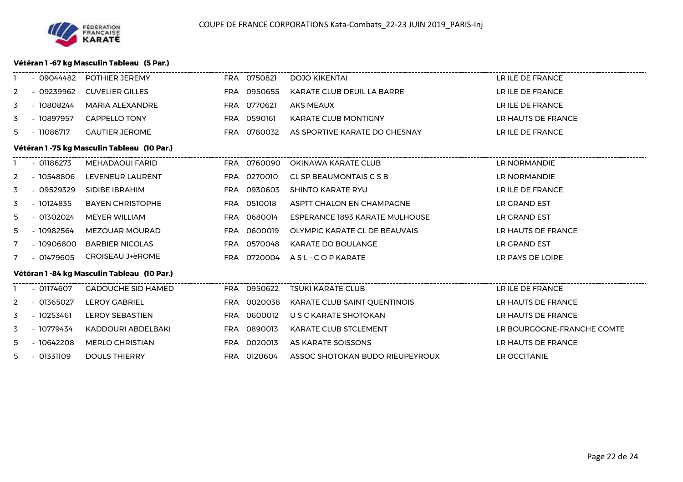

#### **Vétéran 1 -67 kg Masculin Tableau (5 Par.)**

|             | $-09044482$                                 | POTHIER JEREMY                               |            | FRA 0750821 | <b>DOJO KIKENTAI</b>                | LR ILE DE FRANCE           |  |  |  |  |  |
|-------------|---------------------------------------------|----------------------------------------------|------------|-------------|-------------------------------------|----------------------------|--|--|--|--|--|
| 2           | $-09239962$                                 | <b>CUVELIER GILLES</b>                       |            | FRA 0950655 | KARATE CLUB DEUIL LA BARRE          | LR ILE DE FRANCE           |  |  |  |  |  |
| 3           | $-10808244$                                 | <b>MARIA ALEXANDRE</b>                       | FRA        | 0770621     | <b>AKS MEAUX</b>                    | LR ILE DE FRANCE           |  |  |  |  |  |
| 3           | - 10897957                                  | <b>CAPPELLO TONY</b>                         |            | FRA 0590161 | <b>KARATE CLUB MONTIGNY</b>         | LR HAUTS DE FRANCE         |  |  |  |  |  |
| 5.          | - 11086717                                  | <b>GAUTIER JEROME</b>                        |            | FRA 0780032 | AS SPORTIVE KARATE DO CHESNAY       | LR ILE DE FRANCE           |  |  |  |  |  |
|             | Vétéran 1 -75 kg Masculin Tableau (10 Par.) |                                              |            |             |                                     |                            |  |  |  |  |  |
|             | $-01186273$                                 | <b>MEHADAOUI FARID</b>                       |            | FRA 0760090 | OKINAWA KARATE CLUB                 | LR NORMANDIE               |  |  |  |  |  |
| 2           | $-10548806$                                 | LEVENEUR LAURENT                             |            | FRA 0270010 | CL SP BEAUMONTAIS C S B             | LR NORMANDIE               |  |  |  |  |  |
| 3           | $-09529329$                                 | SIDIBE IBRAHIM                               |            | FRA 0930603 | <b>SHINTO KARATE RYU</b>            | LR ILE DE FRANCE           |  |  |  |  |  |
| 3           | $-10124835$                                 | <b>BAYEN CHRISTOPHE</b>                      |            | FRA 0510018 | ASPTT CHALON EN CHAMPAGNE           | LR GRAND EST               |  |  |  |  |  |
| 5           | $-01302024$                                 | MEYER WILLIAM                                |            | FRA 0680014 | ESPERANCE 1893 KARATE MULHOUSE      | LR GRAND EST               |  |  |  |  |  |
| 5.          | - 10982564                                  | <b>MEZOUAR MOURAD</b>                        | <b>FRA</b> | 0600019     | OLYMPIC KARATE CL DE BEAUVAIS       | LR HAUTS DE FRANCE         |  |  |  |  |  |
| 7           | $-10906800$                                 | <b>BARBIER NICOLAS</b>                       |            | FRA 0570048 | <b>KARATE DO BOULANGE</b>           | LR GRAND EST               |  |  |  |  |  |
| $7^{\circ}$ | $-01479605$                                 | CROISEAU J+ëROME                             | <b>FRA</b> | 0720004     | A S L - C O P KARATE                | LR PAYS DE LOIRE           |  |  |  |  |  |
|             |                                             | Vétéran 1 - 84 kg Masculin Tableau (10 Par.) |            |             |                                     |                            |  |  |  |  |  |
|             | $-01174607$                                 | <b>GADOUCHE SID HAMED</b>                    |            | FRA 0950622 | <b>TSUKI KARATE CLUB</b>            | LR ILE DE FRANCE           |  |  |  |  |  |
| 2           | $-01365027$                                 | <b>LEROY GABRIEL</b>                         |            | FRA 0020038 | <b>KARATE CLUB SAINT OUENTINOIS</b> | LR HAUTS DE FRANCE         |  |  |  |  |  |
| 3           | $-10253461$                                 | <b>LEROY SEBASTIEN</b>                       |            | FRA 0600012 | U S C KARATE SHOTOKAN               | LR HAUTS DE FRANCE         |  |  |  |  |  |
| 3           | - 10779434                                  | KADDOURI ABDELBAKI                           | FRA        | 0890013     | <b>KARATE CLUB STCLEMENT</b>        | LR BOURGOGNE-FRANCHE COMTE |  |  |  |  |  |
| 5.          | $-10642208$                                 | <b>MERLO CHRISTIAN</b>                       |            | FRA 0020013 | AS KARATE SOISSONS                  | LR HAUTS DE FRANCE         |  |  |  |  |  |
| 5.          | $-01331109$                                 | <b>DOULS THIERRY</b>                         |            | FRA 0120604 | ASSOC SHOTOKAN BUDO RIEUPEYROUX     | LR OCCITANIE               |  |  |  |  |  |
|             |                                             |                                              |            |             |                                     |                            |  |  |  |  |  |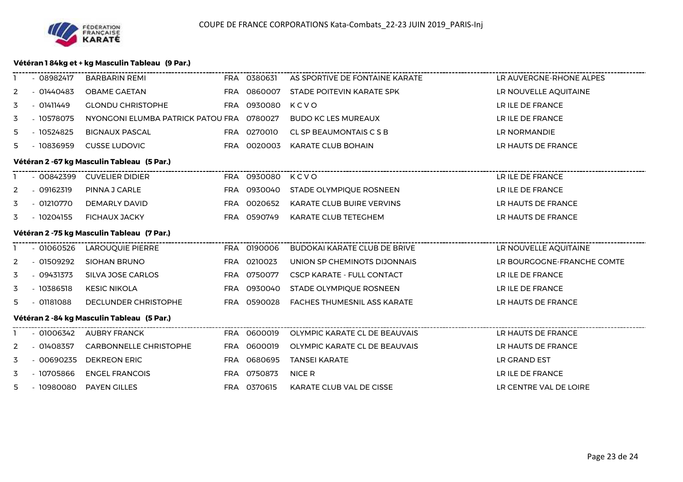

## **Vétéran 1 84kg et + kg Masculin Tableau (9 Par.)**

| - 08982417                                 | BARBARIN REMI                 |                           |             | AS SPORTIVE DE FONTAINE KARATE                                                                                                                                                                                                                                                            | LR AUVERGNE-RHONE ALPES         |  |  |  |  |  |
|--------------------------------------------|-------------------------------|---------------------------|-------------|-------------------------------------------------------------------------------------------------------------------------------------------------------------------------------------------------------------------------------------------------------------------------------------------|---------------------------------|--|--|--|--|--|
| $-01440483$                                | <b>OBAME GAETAN</b>           |                           |             | STADE POITEVIN KARATE SPK                                                                                                                                                                                                                                                                 | LR NOUVELLE AQUITAINE           |  |  |  |  |  |
| - 01411449                                 | <b>GLONDU CHRISTOPHE</b>      |                           |             | KCVO                                                                                                                                                                                                                                                                                      | LR ILE DE FRANCE                |  |  |  |  |  |
| - 10578075                                 |                               |                           |             | <b>BUDO KC LES MUREAUX</b>                                                                                                                                                                                                                                                                | LR ILE DE FRANCE                |  |  |  |  |  |
| - 10524825                                 | <b>BIGNAUX PASCAL</b>         |                           |             | CL SP BEAUMONTAIS C S B                                                                                                                                                                                                                                                                   | LR NORMANDIE                    |  |  |  |  |  |
| $-10836959$                                | <b>CUSSE LUDOVIC</b>          |                           |             | KARATE CLUB BOHAIN                                                                                                                                                                                                                                                                        | LR HAUTS DE FRANCE              |  |  |  |  |  |
| Vétéran 2 -67 kg Masculin Tableau (5 Par.) |                               |                           |             |                                                                                                                                                                                                                                                                                           |                                 |  |  |  |  |  |
| - 00842399                                 | <b>CUVELIER DIDIER</b>        |                           |             |                                                                                                                                                                                                                                                                                           | LR ILE DE FRANCE                |  |  |  |  |  |
|                                            | PINNA J CARLE                 |                           |             | STADE OLYMPIQUE ROSNEEN                                                                                                                                                                                                                                                                   | LR ILE DE FRANCE                |  |  |  |  |  |
| - 01210770                                 | DEMARLY DAVID                 |                           |             | KARATE CLUB BUIRE VERVINS                                                                                                                                                                                                                                                                 | LR HAUTS DE FRANCE              |  |  |  |  |  |
| - 10204155                                 | <b>FICHAUX JACKY</b>          |                           |             | KARATE CLUB TETEGHEM                                                                                                                                                                                                                                                                      | LR HAUTS DE FRANCE              |  |  |  |  |  |
| Vétéran 2 -75 kg Masculin Tableau (7 Par.) |                               |                           |             |                                                                                                                                                                                                                                                                                           |                                 |  |  |  |  |  |
| - 01060526                                 | LAROUQUIE PIERRE              |                           |             | BUDOKAI KARATE CLUB DE BRIVE                                                                                                                                                                                                                                                              | LR NOUVELLE AQUITAINE           |  |  |  |  |  |
| - 01509292                                 | <b>SIOHAN BRUNO</b>           |                           |             | UNION SP CHEMINOTS DIJONNAIS                                                                                                                                                                                                                                                              | LR BOURGOGNE-FRANCHE COMTE      |  |  |  |  |  |
| - 09431373                                 | SILVA JOSE CARLOS             |                           |             | <b>CSCP KARATE - FULL CONTACT</b>                                                                                                                                                                                                                                                         | LR ILE DE FRANCE                |  |  |  |  |  |
| $-10386518$                                | <b>KESIC NIKOLA</b>           |                           |             | STADE OLYMPIQUE ROSNEEN                                                                                                                                                                                                                                                                   | LR ILE DE FRANCE                |  |  |  |  |  |
|                                            | DECLUNDER CHRISTOPHE          |                           |             | FACHES THUMESNIL ASS KARATE                                                                                                                                                                                                                                                               | LR HAUTS DE FRANCE              |  |  |  |  |  |
| Vétéran 2 -84 kg Masculin Tableau (5 Par.) |                               |                           |             |                                                                                                                                                                                                                                                                                           |                                 |  |  |  |  |  |
| - 01006342                                 | <b>AUBRY FRANCK</b>           |                           |             | OLYMPIC KARATE CL DE BEAUVAIS                                                                                                                                                                                                                                                             | LR HAUTS DE FRANCE              |  |  |  |  |  |
| $-01408357$                                | <b>CARBONNELLE CHRISTOPHE</b> |                           |             | OLYMPIC KARATE CL DE BEAUVAIS                                                                                                                                                                                                                                                             | LR HAUTS DE FRANCE              |  |  |  |  |  |
| $-00690235$                                | <b>DEKREON ERIC</b>           |                           |             | TANSEI KARATE                                                                                                                                                                                                                                                                             | LR GRAND EST                    |  |  |  |  |  |
| $-10705866$                                | <b>ENGEL FRANCOIS</b>         |                           |             | NICE R                                                                                                                                                                                                                                                                                    | LR ILE DE FRANCE                |  |  |  |  |  |
|                                            |                               |                           | FRA 0370615 | KARATE CLUB VAL DE CISSE                                                                                                                                                                                                                                                                  | LR CENTRE VAL DE LOIRE          |  |  |  |  |  |
|                                            | $-09162319$<br>- 01181088     | 5 - 10980080 PAYEN GILLES |             | FRA 0860007<br>FRA 0930080<br>NYONGONI ELUMBA PATRICK PATOU FRA 0780027<br>FRA 0270010<br>FRA 0020003<br>FRA 0930040<br>FRA 0020652<br>FRA 0590749<br>FRA 0190006<br>FRA 0210023<br>FRA 0750077<br>FRA 0930040<br>FRA 0590028<br>FRA 0600019<br>FRA 0600019<br>FRA 0680695<br>FRA 0750873 | FRA 0380631<br>FRA 0930080 KCVO |  |  |  |  |  |